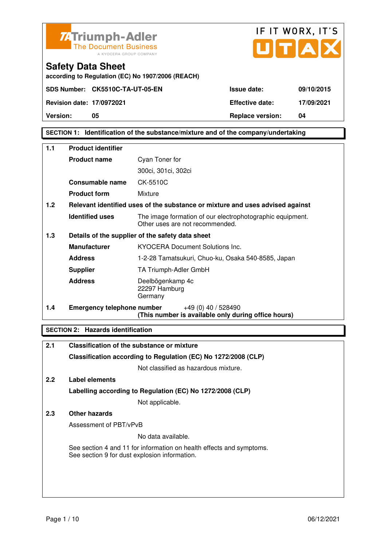



**according to Regulation (EC) No 1907/2006 (REACH)**

**Version:** 05 05 **Replace version:** 04

### **SECTION 1: Identification of the substance/mixture and of the company/undertaking**

| 1.1 | <b>Product identifier</b>         |                                                                                              |  |
|-----|-----------------------------------|----------------------------------------------------------------------------------------------|--|
|     | <b>Product name</b>               | Cyan Toner for                                                                               |  |
|     |                                   | 300ci, 301ci, 302ci                                                                          |  |
|     | <b>Consumable name</b>            | CK-5510C                                                                                     |  |
|     | <b>Product form</b>               | Mixture                                                                                      |  |
| 1.2 |                                   | Relevant identified uses of the substance or mixture and uses advised against                |  |
|     | <b>Identified uses</b>            | The image formation of our electrophotographic equipment.<br>Other uses are not recommended. |  |
| 1.3 |                                   | Details of the supplier of the safety data sheet                                             |  |
|     | <b>Manufacturer</b>               | <b>KYOCERA Document Solutions Inc.</b>                                                       |  |
|     | <b>Address</b>                    | 1-2-28 Tamatsukuri, Chuo-ku, Osaka 540-8585, Japan                                           |  |
|     | <b>Supplier</b>                   | TA Triumph-Adler GmbH                                                                        |  |
|     | <b>Address</b>                    | Deelbögenkamp 4c<br>22297 Hamburg<br>Germany                                                 |  |
| 1.4 | <b>Emergency telephone number</b> | $+49(0)$ 40 / 528490<br>(This number is available only during office hours)                  |  |

### **SECTION 2: Hazards identification**

| 2.1           | Classification of the substance or mixture                                                                            |
|---------------|-----------------------------------------------------------------------------------------------------------------------|
|               | Classification according to Regulation (EC) No 1272/2008 (CLP)                                                        |
|               | Not classified as hazardous mixture.                                                                                  |
| $2.2^{\circ}$ | Label elements                                                                                                        |
|               | Labelling according to Regulation (EC) No 1272/2008 (CLP)                                                             |
|               | Not applicable.                                                                                                       |
| 2.3           | Other hazards                                                                                                         |
|               | Assessment of PBT/vPvB                                                                                                |
|               | No data available.                                                                                                    |
|               | See section 4 and 11 for information on health effects and symptoms.<br>See section 9 for dust explosion information. |
|               |                                                                                                                       |
|               |                                                                                                                       |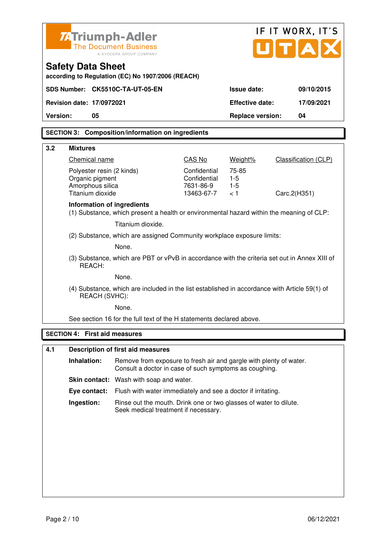| <b>74 Triumph-Adler</b><br><b>The Document Business</b> |                                                                                                                | IF IT WORX, IT'S<br>JITIA                                                                                                    |                                                         |                                |                             |
|---------------------------------------------------------|----------------------------------------------------------------------------------------------------------------|------------------------------------------------------------------------------------------------------------------------------|---------------------------------------------------------|--------------------------------|-----------------------------|
|                                                         | A KYOCERA GROUP COMPANY<br><b>Safety Data Sheet</b><br>according to Regulation (EC) No 1907/2006 (REACH)       |                                                                                                                              |                                                         |                                |                             |
|                                                         |                                                                                                                | SDS Number: CK5510C-TA-UT-05-EN                                                                                              |                                                         | Issue date:                    | 09/10/2015                  |
|                                                         | <b>Revision date: 17/0972021</b>                                                                               |                                                                                                                              |                                                         | <b>Effective date:</b>         | 17/09/2021                  |
| <b>Version:</b>                                         | 05                                                                                                             |                                                                                                                              |                                                         | <b>Replace version:</b>        | 04                          |
|                                                         |                                                                                                                | <b>SECTION 3: Composition/information on ingredients</b>                                                                     |                                                         |                                |                             |
| 3.2                                                     | <b>Mixtures</b>                                                                                                |                                                                                                                              |                                                         |                                |                             |
|                                                         | Chemical name                                                                                                  |                                                                                                                              | CAS No                                                  | Weight%                        | <b>Classification (CLP)</b> |
|                                                         | Polyester resin (2 kinds)<br>Organic pigment<br>Amorphous silica<br>Titanium dioxide                           |                                                                                                                              | Confidential<br>Confidential<br>7631-86-9<br>13463-67-7 | 75-85<br>$1-5$<br>$1-5$<br>< 1 | Carc.2(H351)                |
|                                                         | Information of ingredients                                                                                     | (1) Substance, which present a health or environmental hazard within the meaning of CLP:                                     |                                                         |                                |                             |
|                                                         |                                                                                                                | Titanium dioxide.                                                                                                            |                                                         |                                |                             |
|                                                         |                                                                                                                | (2) Substance, which are assigned Community workplace exposure limits:                                                       |                                                         |                                |                             |
|                                                         | None.                                                                                                          |                                                                                                                              |                                                         |                                |                             |
|                                                         | (3) Substance, which are PBT or vPvB in accordance with the criteria set out in Annex XIII of<br>REACH:        |                                                                                                                              |                                                         |                                |                             |
|                                                         | None.                                                                                                          |                                                                                                                              |                                                         |                                |                             |
|                                                         | (4) Substance, which are included in the list established in accordance with Article 59(1) of<br>REACH (SVHC): |                                                                                                                              |                                                         |                                |                             |
|                                                         |                                                                                                                | None.                                                                                                                        |                                                         |                                |                             |
|                                                         |                                                                                                                | See section 16 for the full text of the H statements declared above.                                                         |                                                         |                                |                             |
| <b>SECTION 4:</b>                                       |                                                                                                                | <b>First aid measures</b>                                                                                                    |                                                         |                                |                             |
| 4.1                                                     |                                                                                                                | <b>Description of first aid measures</b>                                                                                     |                                                         |                                |                             |
|                                                         | Inhalation:                                                                                                    | Remove from exposure to fresh air and gargle with plenty of water.<br>Consult a doctor in case of such symptoms as coughing. |                                                         |                                |                             |
|                                                         |                                                                                                                | Skin contact: Wash with soap and water.                                                                                      |                                                         |                                |                             |
|                                                         | Eye contact:                                                                                                   | Flush with water immediately and see a doctor if irritating.                                                                 |                                                         |                                |                             |
|                                                         | Ingestion:                                                                                                     | Rinse out the mouth. Drink one or two glasses of water to dilute.<br>Seek medical treatment if necessary.                    |                                                         |                                |                             |
|                                                         |                                                                                                                |                                                                                                                              |                                                         |                                |                             |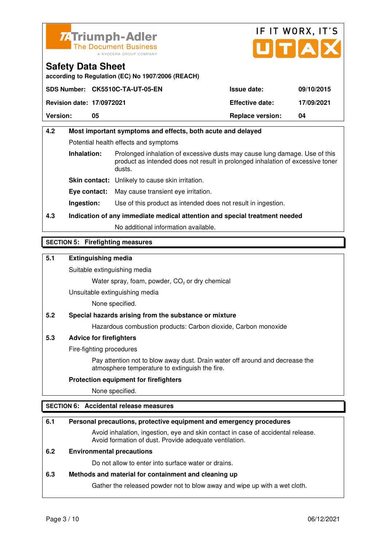



**according to Regulation (EC) No 1907/2006 (REACH)**

|                                  | SDS Number: CK5510C-TA-UT-05-EN | <b>Issue date:</b>      | 09/10/2015 |
|----------------------------------|---------------------------------|-------------------------|------------|
| <b>Revision date: 17/0972021</b> |                                 | <b>Effective date:</b>  | 17/09/2021 |
| <b>Version:</b>                  | 05                              | <b>Replace version:</b> | 04         |

# **4.2 Most important symptoms and effects, both acute and delayed**  Potential health effects and symptoms **Inhalation:** Prolonged inhalation of excessive dusts may cause lung damage. Use of this product as intended does not result in prolonged inhalation of excessive toner dusts. **Skin contact:** Unlikely to cause skin irritation. **Eye contact:** May cause transient eye irritation.

**Ingestion:** Use of this product as intended does not result in ingestion.

# **4.3 Indication of any immediate medical attention and special treatment needed**

No additional information available.

### **SECTION 5: Firefighting measures**

### **5.1 Extinguishing media**

Suitable extinguishing media

Water spray, foam, powder,  $CO<sub>2</sub>$  or dry chemical

Unsuitable extinguishing media

None specified.

### **5.2 Special hazards arising from the substance or mixture**

Hazardous combustion products: Carbon dioxide, Carbon monoxide

### **5.3 Advice for firefighters**

Fire-fighting procedures

 Pay attention not to blow away dust. Drain water off around and decrease the atmosphere temperature to extinguish the fire.

### **Protection equipment for firefighters**

None specified.

### **SECTION 6: Accidental release measures**

### **6.1 Personal precautions, protective equipment and emergency procedures**

 Avoid inhalation, ingestion, eye and skin contact in case of accidental release. Avoid formation of dust. Provide adequate ventilation.

### **6.2 Environmental precautions**

Do not allow to enter into surface water or drains.

### **6.3 Methods and material for containment and cleaning up**

Gather the released powder not to blow away and wipe up with a wet cloth.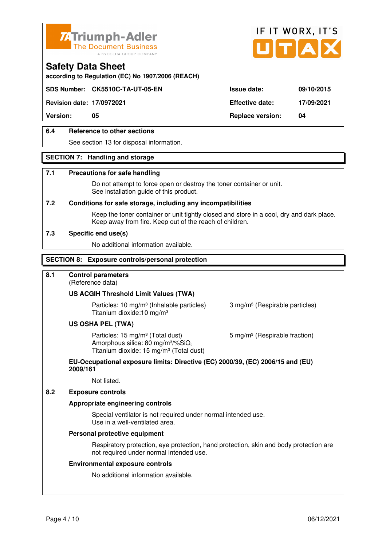



**according to Regulation (EC) No 1907/2006 (REACH)**

### **SDS Number: CK5510C-TA-UT-05-EN Issue date: 09/10/2015**

**Revision date: 17/0972021 Effective date: 17/09/2021** 

**Version: 05 Replace version: 04** 

### **6.4 Reference to other sections**

See section 13 for disposal information.

### **SECTION 7: Handling and storage**

#### **7.1 Precautions for safe handling**

 Do not attempt to force open or destroy the toner container or unit. See installation guide of this product.

#### **7.2 Conditions for safe storage, including any incompatibilities**

Keep the toner container or unit tightly closed and store in a cool, dry and dark place. Keep away from fire. Keep out of the reach of children.

#### **7.3 Specific end use(s)**

No additional information available.

#### **SECTION 8: Exposure controls/personal protection**

### **8.1 Control parameters**

(Reference data)

#### **US ACGIH Threshold Limit Values (TWA)**

**Particles: 10 mg/m<sup>3</sup> (Inhalable particles) 3 mg/m<sup>3</sup> (Respirable particles)** Titanium dioxide:10 mg/m³

#### **US OSHA PEL (TWA)**

Particles: 15 mg/m<sup>3</sup> (Total dust) 5 mg/m<sup>3</sup> (Respirable fraction) Amorphous silica:  $80 \text{ mg/m}^3/\% \text{SiO}_2$ Titanium dioxide: 15 mg/m<sup>3</sup> (Total dust)

#### **EU-Occupational exposure limits: Directive (EC) 2000/39, (EC) 2006/15 and (EU) 2009/161**

Not listed.

### **8.2 Exposure controls**

#### **Appropriate engineering controls**

 Special ventilator is not required under normal intended use. Use in a well-ventilated area.

#### **Personal protective equipment**

 Respiratory protection, eye protection, hand protection, skin and body protection are not required under normal intended use.

#### **Environmental exposure controls**

No additional information available.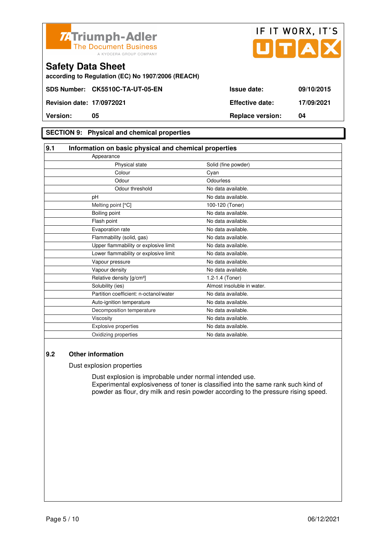



**according to Regulation (EC) No 1907/2006 (REACH)**

### **SECTION 9: Physical and chemical properties**

| 9.1                                    | Information on basic physical and chemical properties |  |  |
|----------------------------------------|-------------------------------------------------------|--|--|
| Appearance                             |                                                       |  |  |
| Physical state                         | Solid (fine powder)                                   |  |  |
| Colour                                 | Cyan                                                  |  |  |
| Odour                                  | Odourless                                             |  |  |
| Odour threshold                        | No data available.                                    |  |  |
| pH                                     | No data available.                                    |  |  |
| Melting point [°C]                     | 100-120 (Toner)                                       |  |  |
| Boiling point                          | No data available.                                    |  |  |
| Flash point                            | No data available.                                    |  |  |
| Evaporation rate                       | No data available.                                    |  |  |
| Flammability (solid, gas)              | No data available.                                    |  |  |
| Upper flammability or explosive limit  | No data available.                                    |  |  |
| Lower flammability or explosive limit  | No data available.                                    |  |  |
| Vapour pressure                        | No data available.                                    |  |  |
| Vapour density                         | No data available.                                    |  |  |
| Relative density [g/cm <sup>3</sup> ]  | 1.2-1.4 (Toner)                                       |  |  |
| Solubility (ies)                       | Almost insoluble in water.                            |  |  |
| Partition coefficient: n-octanol/water | No data available.                                    |  |  |
| Auto-ignition temperature              | No data available.                                    |  |  |
| Decomposition temperature              | No data available.                                    |  |  |
| Viscosity                              | No data available.                                    |  |  |
| <b>Explosive properties</b>            | No data available.                                    |  |  |
| Oxidizing properties                   | No data available.                                    |  |  |

### **9.2 Other information**

Dust explosion properties

 Dust explosion is improbable under normal intended use. Experimental explosiveness of toner is classified into the same rank such kind of powder as flour, dry milk and resin powder according to the pressure rising speed.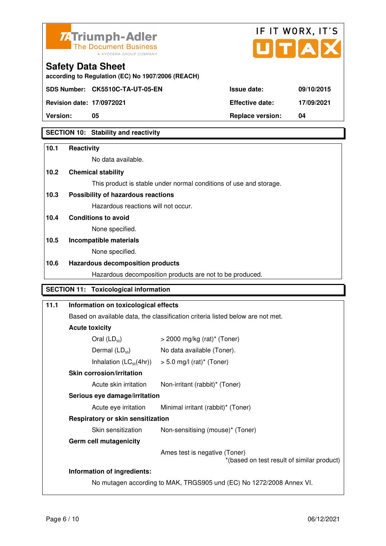



**according to Regulation (EC) No 1907/2006 (REACH)**

**Revision date: 17/0972021 Effective date: 17/09/2021** 

**Safety Data Sheet** 

**Version: 05 Replace version: 04** 

### **SECTION 10: Stability and reactivity**

# **10.1 Reactivity**

No data available.

### **10.2 Chemical stability**

This product is stable under normal conditions of use and storage.

### **10.3 Possibility of hazardous reactions**

Hazardous reactions will not occur.

**10.4 Conditions to avoid** 

None specified.

# **10.5 Incompatible materials**

None specified.

### **10.6 Hazardous decomposition products**

Hazardous decomposition products are not to be produced.

### **SECTION 11: Toxicological information**

# **11.1 Information on toxicological effects**  Based on available data, the classification criteria listed below are not met. **Acute toxicity**  Oral  $(LD_{50})$   $>$  2000 mg/kg (rat)<sup>\*</sup> (Toner) Dermal  $(LD_{50})$  No data available (Toner). Inhalation  $(LC_{50}(4hr))$  > 5.0 mg/l (rat)\* (Toner)  **Skin corrosion/irritation** Acute skin irritation Non-irritant (rabbit)\* (Toner)  **Serious eye damage/irritation** Acute eye irritation Minimal irritant (rabbit)\* (Toner)  **Respiratory or skin sensitization**  Skin sensitization Non-sensitising (mouse)<sup>\*</sup> (Toner)  **Germ cell mutagenicity** Ames test is negative (Toner) \*(based on test result of similar product) **Information of ingredients:**  No mutagen according to MAK, TRGS905 und (EC) No 1272/2008 Annex VI.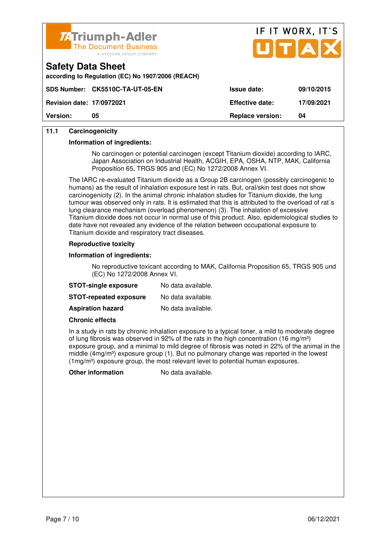

**according to Regulation (EC) No 1907/2006 (REACH)**



| <b>Version:</b>                  | 05                               | <b>Replace version:</b> | 04         |
|----------------------------------|----------------------------------|-------------------------|------------|
| <b>Revision date: 17/0972021</b> |                                  | <b>Effective date:</b>  | 17/09/2021 |
|                                  | SDS Number: CK5510C-TA-UT-05-EN_ | <b>Issue date:</b>      | 09/10/2015 |

### **11.1 Carcinogenicity**

**Safety Data Sheet** 

#### **Information of ingredients:**

 No carcinogen or potential carcinogen (except Titanium dioxide) according to IARC, Japan Association on Industrial Health, ACGIH, EPA, OSHA, NTP, MAK, California Proposition 65, TRGS 905 and (EC) No 1272/2008 Annex VI.

 The IARC re-evaluated Titanium dioxide as a Group 2B carcinogen (possibly carcinogenic to humans) as the result of inhalation exposure test in rats. But, oral/skin test does not show carcinogenicity (2). In the animal chronic inhalation studies for Titanium dioxide, the lung tumour was observed only in rats. It is estimated that this is attributed to the overload of rat´s lung clearance mechanism (overload phenomenon) (3). The inhalation of excessive Titanium dioxide does not occur in normal use of this product. Also, epidemiological studies to date have not revealed any evidence of the relation between occupational exposure to Titanium dioxide and respiratory tract diseases.

#### **Reproductive toxicity**

#### **Information of ingredients:**

 No reproductive toxicant according to MAK, California Proposition 65, TRGS 905 und (EC) No 1272/2008 Annex VI.

| <b>STOT-single exposure</b>   | No data available. |
|-------------------------------|--------------------|
| <b>STOT-repeated exposure</b> | No data available. |
| <b>Aspiration hazard</b>      | No data available. |

#### **Chronic effects**

 In a study in rats by chronic inhalation exposure to a typical toner, a mild to moderate degree of lung fibrosis was observed in 92% of the rats in the high concentration (16 mg/m<sup>3</sup>) exposure group, and a minimal to mild degree of fibrosis was noted in 22% of the animal in the middle (4mg/m<sup>3</sup>) exposure group (1). But no pulmonary change was reported in the lowest  $(1 \text{mg/m}^3)$  exposure group, the most relevant level to potential human exposures.

**Other information** No data available.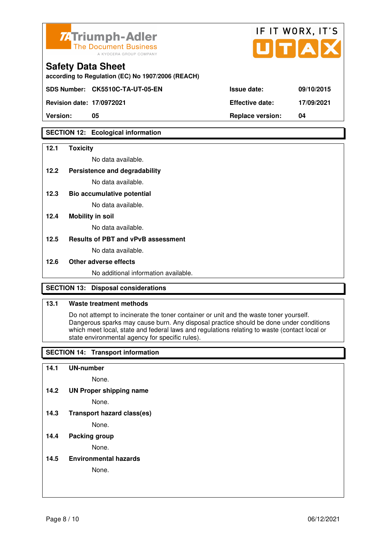

| <b>74Triumph-Adler</b><br>The Document Business<br>A KYOCERA GROUP COMPANY    |                        | IF II WURA.II J<br>UTAX |
|-------------------------------------------------------------------------------|------------------------|-------------------------|
| <b>Safety Data Sheet</b><br>according to Regulation (EC) No 1907/2006 (REACH) |                        |                         |
| SDS Number: CK5510C-TA-UT-05-EN                                               | Issue date:            | 09/10/2015              |
| <b>Revision date: 17/0972021</b>                                              | <b>Effective date:</b> | 17/09/2021              |

 $F(T)$ 

**Version: 05 Replace version: 04** 

### **SECTION 12: Ecological information**

#### **12.1 Toxicity**

No data available.

#### **12.2 Persistence and degradability**

No data available.

**12.3 Bio accumulative potential** 

No data available.

### **12.4 Mobility in soil**

No data available.

### **12.5 Results of PBT and vPvB assessment**

No data available.

#### **12.6 Other adverse effects**

No additional information available.

### **SECTION 13: Disposal considerations**

### **13.1 Waste treatment methods**

 Do not attempt to incinerate the toner container or unit and the waste toner yourself. Dangerous sparks may cause burn. Any disposal practice should be done under conditions which meet local, state and federal laws and regulations relating to waste (contact local or state environmental agency for specific rules).

### **SECTION 14: Transport information**

#### **14.1 UN-number**

None.

**14.2 UN Proper shipping name** 

None.

**14.3 Transport hazard class(es)** 

None.

### **14.4 Packing group**

None.

#### **14.5 Environmental hazards**

None.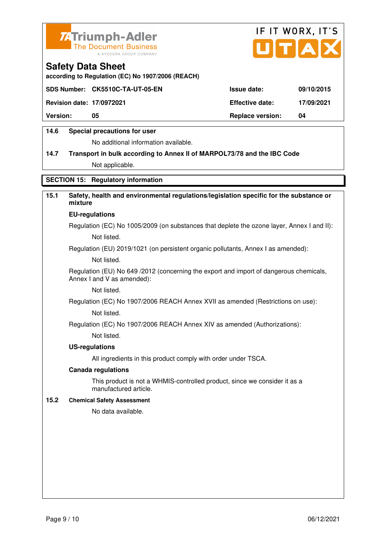



**according to Regulation (EC) No 1907/2006 (REACH)**

|                                  | SDS Number: CK5510C-TA-UT-05-EN | <b>Issue date:</b>      | 09/10/2015 |
|----------------------------------|---------------------------------|-------------------------|------------|
| <b>Revision date: 17/0972021</b> |                                 | <b>Effective date:</b>  | 17/09/2021 |
| <b>Version:</b>                  | 05                              | <b>Replace version:</b> | 04         |
|                                  |                                 |                         |            |

### **14.6 Special precautions for user**

No additional information available.

# **14.7 Transport in bulk according to Annex II of MARPOL73/78 and the IBC Code** Not applicable.

**SECTION 15: Regulatory information** 

### **15.1 Safety, health and environmental regulations/legislation specific for the substance or mixture**

#### **EU-regulations**

Regulation (EC) No 1005/2009 (on substances that deplete the ozone layer, Annex I and II): Not listed.

Regulation (EU) 2019/1021 (on persistent organic pollutants, Annex I as amended):

Not listed.

 Regulation (EU) No 649 /2012 (concerning the export and import of dangerous chemicals, Annex I and V as amended):

Not listed.

 Regulation (EC) No 1907/2006 REACH Annex XVII as amended (Restrictions on use): Not listed.

Regulation (EC) No 1907/2006 REACH Annex XIV as amended (Authorizations):

Not listed.

#### **US-regulations**

All ingredients in this product comply with order under TSCA.

#### **Canada regulations**

 This product is not a WHMIS-controlled product, since we consider it as a manufactured article.

### **15.2 Chemical Safety Assessment**

No data available.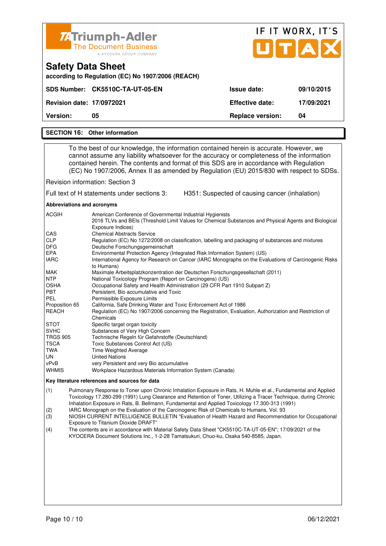| <b>74 Triumph-Adler</b><br><b>The Document Business</b><br>A KYOCERA GROUP COMPANY |                         | IF IT WORX, IT'S<br>UTAX |
|------------------------------------------------------------------------------------|-------------------------|--------------------------|
| <b>Safety Data Sheet</b><br>according to Regulation (EC) No 1907/2006 (REACH)      |                         |                          |
| SDS Number: CK5510C-TA-UT-05-EN                                                    | Issue date:             | 09/10/2015               |
| <b>Revision date: 17/0972021</b>                                                   | <b>Effective date:</b>  | 17/09/2021               |
| <b>Version:</b><br>05                                                              | <b>Replace version:</b> | 04                       |
| <b>SECTION 16: Other information</b>                                               |                         |                          |

 To the best of our knowledge, the information contained herein is accurate. However, we cannot assume any liability whatsoever for the accuracy or completeness of the information

 contained herein. The contents and format of this SDS are in accordance with Regulation (EC) No 1907/2006, Annex II as amended by Regulation (EU) 2015/830 with respect to SDSs.

Revision information: Section 3

Full text of H statements under sections 3: H351: Suspected of causing cancer (inhalation)

**Abbreviations and acronyms** 

| <b>ACGIH</b>    | American Conference of Governmental Industrial Hygienists                                                                  |
|-----------------|----------------------------------------------------------------------------------------------------------------------------|
|                 | 2016 TLVs and BEIs (Threshold Limit Values for Chemical Substances and Physical Agents and Biological<br>Exposure Indices) |
| <b>CAS</b>      | <b>Chemical Abstracts Service</b>                                                                                          |
| <b>CLP</b>      | Regulation (EC) No 1272/2008 on classification, labelling and packaging of substances and mixtures                         |
| <b>DFG</b>      | Deutsche Forschungsgemeinschaft                                                                                            |
| <b>EPA</b>      | Environmental Protection Agency (Integrated Risk Information System) (US)                                                  |
| <b>IARC</b>     | International Agency for Research on Cancer (IARC Monographs on the Evaluations of Carcinogenic Risks<br>to Humans)        |
| MAK             | Maximale Arbeitsplatzkonzentration der Deutschen Forschungsgesellschaft (2011)                                             |
| <b>NTP</b>      | National Toxicology Program (Report on Carcinogens) (US)                                                                   |
| <b>OSHA</b>     | Occupational Safety and Health Administration (29 CFR Part 1910 Subpart Z)                                                 |
| <b>PBT</b>      | Persistent. Bio accumulative and Toxic                                                                                     |
| <b>PEL</b>      | Permissible Exposure Limits                                                                                                |
| Proposition 65  | California, Safe Drinking Water and Toxic Enforcement Act of 1986                                                          |
| <b>REACH</b>    | Regulation (EC) No 1907/2006 concerning the Registration, Evaluation, Authorization and Restriction of                     |
|                 | Chemicals                                                                                                                  |
| <b>STOT</b>     | Specific target organ toxicity                                                                                             |
| <b>SVHC</b>     | Substances of Very High Concern                                                                                            |
| <b>TRGS 905</b> | Technische Regeln für Gefahrstoffe (Deutschland)                                                                           |
| <b>TSCA</b>     | Toxic Substances Control Act (US)                                                                                          |
| TWA             | <b>Time Weighted Average</b>                                                                                               |
| UN              | <b>United Nations</b>                                                                                                      |
| vPvB            | very Persistent and very Bio accumulative                                                                                  |
| <b>WHMIS</b>    | Workplace Hazardous Materials Information System (Canada)                                                                  |

#### **Key literature references and sources for data**

(1) Pulmonary Response to Toner upon Chronic Inhalation Exposure in Rats, H. Muhle et al., Fundamental and Applied Toxicology 17.280-299 (1991) Lung Clearance and Retention of Toner, Utilizing a Tracer Technique, during Chronic Inhalation Exposure in Rats, B. Bellmann, Fundamental and Applied Toxicology 17.300-313 (1991)

(2) IARC Monograph on the Evaluation of the Carcinogenic Risk of Chemicals to Humans, Vol. 93

(3) NIOSH CURRENT INTELLIGENCE BULLETIN "Evaluation of Health Hazard and Recommendation for Occupational Exposure to Titanium Dioxide DRAFT"

(4) The contents are in accordance with Material Safety Data Sheet "CK5510C-TA-UT-05-EN"; 17/09/2021 of the KYOCERA Document Solutions Inc., 1-2-28 Tamatsukuri, Chuo-ku, Osaka 540-8585, Japan.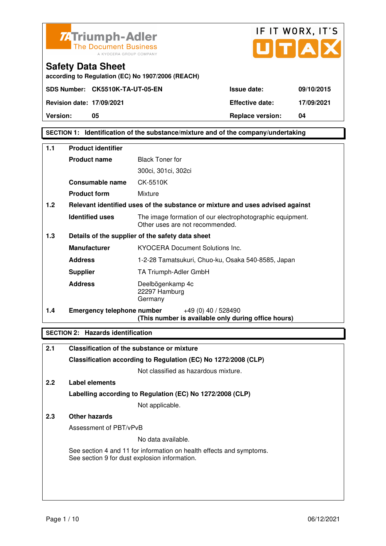



**according to Regulation (EC) No 1907/2006 (REACH)**

**Version:** 05 05 **Replace version:** 04

### **SECTION 1: Identification of the substance/mixture and of the company/undertaking**

| $1.1$ | <b>Product identifier</b>         |                                                                                              |  |
|-------|-----------------------------------|----------------------------------------------------------------------------------------------|--|
|       | <b>Product name</b>               | <b>Black Toner for</b>                                                                       |  |
|       |                                   | 300ci, 301ci, 302ci                                                                          |  |
|       | Consumable name                   | CK-5510K                                                                                     |  |
|       | <b>Product form</b>               | Mixture                                                                                      |  |
| 1.2   |                                   | Relevant identified uses of the substance or mixture and uses advised against                |  |
|       | <b>Identified uses</b>            | The image formation of our electrophotographic equipment.<br>Other uses are not recommended. |  |
| 1.3   |                                   | Details of the supplier of the safety data sheet                                             |  |
|       | <b>Manufacturer</b>               | <b>KYOCERA Document Solutions Inc.</b>                                                       |  |
|       | <b>Address</b>                    | 1-2-28 Tamatsukuri, Chuo-ku, Osaka 540-8585, Japan                                           |  |
|       | <b>Supplier</b>                   | TA Triumph-Adler GmbH                                                                        |  |
|       | <b>Address</b>                    | Deelbögenkamp 4c<br>22297 Hamburg<br>Germany                                                 |  |
| 1.4   | <b>Emergency telephone number</b> | $+49(0)$ 40 / 528490<br>(This number is available only during office hours)                  |  |

### **SECTION 2: Hazards identification**

| 2.1 | Classification of the substance or mixture                                                                            |
|-----|-----------------------------------------------------------------------------------------------------------------------|
|     | Classification according to Regulation (EC) No 1272/2008 (CLP)                                                        |
|     | Not classified as hazardous mixture.                                                                                  |
| 2.2 | Label elements                                                                                                        |
|     | Labelling according to Regulation (EC) No 1272/2008 (CLP)                                                             |
|     | Not applicable.                                                                                                       |
| 2.3 | Other hazards                                                                                                         |
|     | Assessment of PBT/vPvB                                                                                                |
|     | No data available.                                                                                                    |
|     | See section 4 and 11 for information on health effects and symptoms.<br>See section 9 for dust explosion information. |
|     |                                                                                                                       |
|     |                                                                                                                       |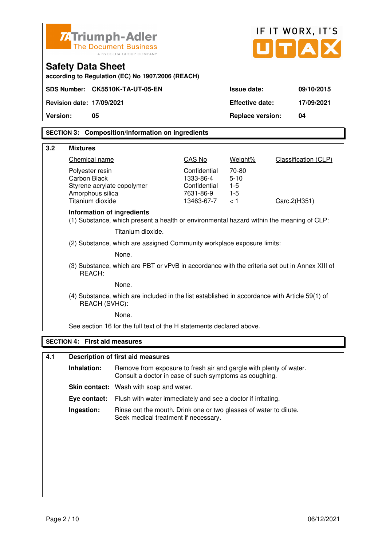|          |                                                                                                         |                                                                                                                              |                                                              |                         | IF IT WORX, IT'S            |            |
|----------|---------------------------------------------------------------------------------------------------------|------------------------------------------------------------------------------------------------------------------------------|--------------------------------------------------------------|-------------------------|-----------------------------|------------|
|          | <b>ZATriumph-Adler</b><br><b>The Document Business</b><br>A KYOCERA GROUP COMPANY                       |                                                                                                                              |                                                              |                         | UTA                         |            |
|          | <b>Safety Data Sheet</b>                                                                                |                                                                                                                              |                                                              |                         |                             |            |
|          |                                                                                                         | according to Regulation (EC) No 1907/2006 (REACH)                                                                            |                                                              |                         |                             |            |
|          |                                                                                                         | SDS Number: CK5510K-TA-UT-05-EN                                                                                              |                                                              | Issue date:             |                             | 09/10/2015 |
|          | <b>Revision date: 17/09/2021</b>                                                                        |                                                                                                                              |                                                              | <b>Effective date:</b>  |                             | 17/09/2021 |
| Version: | 05                                                                                                      |                                                                                                                              |                                                              | <b>Replace version:</b> | 04                          |            |
|          |                                                                                                         | <b>SECTION 3: Composition/information on ingredients</b>                                                                     |                                                              |                         |                             |            |
| 3.2      | <b>Mixtures</b>                                                                                         |                                                                                                                              |                                                              |                         |                             |            |
|          | Chemical name                                                                                           |                                                                                                                              | CAS No                                                       | Weight%                 | <b>Classification (CLP)</b> |            |
|          | Polyester resin<br><b>Carbon Black</b>                                                                  |                                                                                                                              | Confidential<br>1333-86-4                                    | 70-80<br>$5 - 10$       |                             |            |
|          | Styrene acrylate copolymer                                                                              |                                                                                                                              | Confidential                                                 | $1-5$                   |                             |            |
|          | Amorphous silica<br>Titanium dioxide                                                                    |                                                                                                                              | 7631-86-9<br>13463-67-7                                      | $1-5$<br>< 1            | Carc.2(H351)                |            |
|          | Information of ingredients                                                                              |                                                                                                                              |                                                              |                         |                             |            |
|          |                                                                                                         | (1) Substance, which present a health or environmental hazard within the meaning of CLP:                                     |                                                              |                         |                             |            |
|          |                                                                                                         | Titanium dioxide.                                                                                                            |                                                              |                         |                             |            |
|          | (2) Substance, which are assigned Community workplace exposure limits:                                  |                                                                                                                              |                                                              |                         |                             |            |
|          | None.                                                                                                   |                                                                                                                              |                                                              |                         |                             |            |
|          | (3) Substance, which are PBT or vPvB in accordance with the criteria set out in Annex XIII of<br>REACH: |                                                                                                                              |                                                              |                         |                             |            |
|          | None.                                                                                                   |                                                                                                                              |                                                              |                         |                             |            |
|          | REACH (SVHC):                                                                                           | (4) Substance, which are included in the list established in accordance with Article 59(1) of                                |                                                              |                         |                             |            |
|          |                                                                                                         | None.                                                                                                                        |                                                              |                         |                             |            |
|          |                                                                                                         | See section 16 for the full text of the H statements declared above.                                                         |                                                              |                         |                             |            |
|          | <b>SECTION 4: First aid measures</b>                                                                    |                                                                                                                              |                                                              |                         |                             |            |
| 4.1      |                                                                                                         | <b>Description of first aid measures</b>                                                                                     |                                                              |                         |                             |            |
|          | Inhalation:                                                                                             | Remove from exposure to fresh air and gargle with plenty of water.<br>Consult a doctor in case of such symptoms as coughing. |                                                              |                         |                             |            |
|          |                                                                                                         | Skin contact: Wash with soap and water.                                                                                      |                                                              |                         |                             |            |
|          | Eye contact:                                                                                            |                                                                                                                              | Flush with water immediately and see a doctor if irritating. |                         |                             |            |
|          | Ingestion:                                                                                              | Rinse out the mouth. Drink one or two glasses of water to dilute.<br>Seek medical treatment if necessary.                    |                                                              |                         |                             |            |
|          |                                                                                                         |                                                                                                                              |                                                              |                         |                             |            |
|          |                                                                                                         |                                                                                                                              |                                                              |                         |                             |            |
|          |                                                                                                         |                                                                                                                              |                                                              |                         |                             |            |
|          |                                                                                                         |                                                                                                                              |                                                              |                         |                             |            |
|          |                                                                                                         |                                                                                                                              |                                                              |                         |                             |            |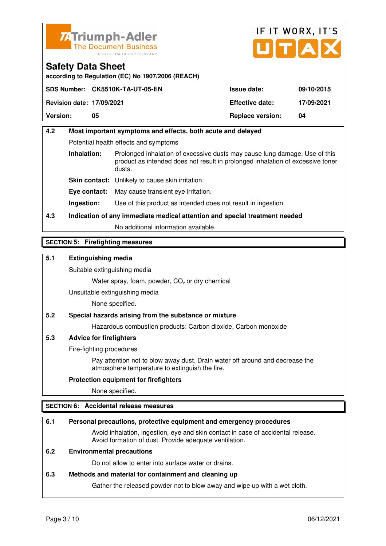



**according to Regulation (EC) No 1907/2006 (REACH)**

|                                  | SDS Number: CK5510K-TA-UT-05-EN | <b>Issue date:</b>      | 09/10/2015 |
|----------------------------------|---------------------------------|-------------------------|------------|
| <b>Revision date: 17/09/2021</b> |                                 | <b>Effective date:</b>  | 17/09/2021 |
| <b>Version:</b>                  | 05                              | <b>Replace version:</b> | 04         |

# **4.2 Most important symptoms and effects, both acute and delayed**  Potential health effects and symptoms **Inhalation:** Prolonged inhalation of excessive dusts may cause lung damage. Use of this product as intended does not result in prolonged inhalation of excessive toner dusts. **Skin contact:** Unlikely to cause skin irritation. **Eye contact:** May cause transient eye irritation.

**Ingestion:** Use of this product as intended does not result in ingestion.

# **4.3 Indication of any immediate medical attention and special treatment needed**

No additional information available.

### **SECTION 5: Firefighting measures**

### **5.1 Extinguishing media**

Suitable extinguishing media

Water spray, foam, powder,  $CO<sub>2</sub>$  or dry chemical

Unsuitable extinguishing media

None specified.

### **5.2 Special hazards arising from the substance or mixture**

Hazardous combustion products: Carbon dioxide, Carbon monoxide

### **5.3 Advice for firefighters**

Fire-fighting procedures

 Pay attention not to blow away dust. Drain water off around and decrease the atmosphere temperature to extinguish the fire.

### **Protection equipment for firefighters**

None specified.

### **SECTION 6: Accidental release measures**

### **6.1 Personal precautions, protective equipment and emergency procedures**

 Avoid inhalation, ingestion, eye and skin contact in case of accidental release. Avoid formation of dust. Provide adequate ventilation.

### **6.2 Environmental precautions**

Do not allow to enter into surface water or drains.

#### **6.3 Methods and material for containment and cleaning up**

Gather the released powder not to blow away and wipe up with a wet cloth.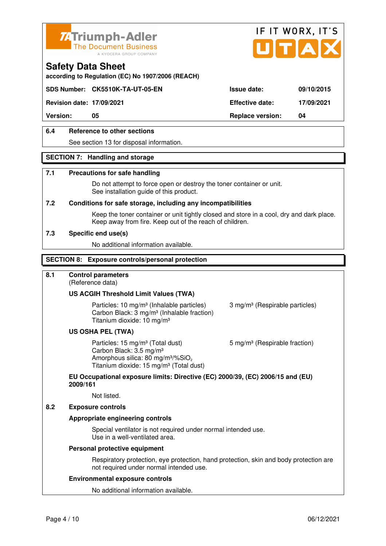



**according to Regulation (EC) No 1907/2006 (REACH)**

### **SDS Number: CK5510K-TA-UT-05-EN Issue date: 09/10/2015**

**Revision date: 17/09/2021 Effective date: 17/09/2021** 

**Version: 05 Replace version: 04** 

### **6.4 Reference to other sections**

See section 13 for disposal information.

### **SECTION 7: Handling and storage**

#### **7.1 Precautions for safe handling**

 Do not attempt to force open or destroy the toner container or unit. See installation guide of this product.

#### **7.2 Conditions for safe storage, including any incompatibilities**

Keep the toner container or unit tightly closed and store in a cool, dry and dark place. Keep away from fire. Keep out of the reach of children.

#### **7.3 Specific end use(s)**

No additional information available.

#### **SECTION 8: Exposure controls/personal protection**

### **8.1 Control parameters**

(Reference data)

### **US ACGIH Threshold Limit Values (TWA)**

Particles: 10 mg/m<sup>3</sup> (Inhalable particles) 3 mg/m<sup>3</sup> (Respirable particles) Carbon Black: 3 mg/m³ (Inhalable fraction) Titanium dioxide: 10 mg/m³

### **US OSHA PEL (TWA)**

Particles: 15 mg/m<sup>3</sup> (Total dust) 5 mg/m<sup>3</sup> (Respirable fraction) Carbon Black: 3.5 mg/m³ Amorphous silica:  $80 \text{ mg/m}^3/\% \text{SiO}_2$ Titanium dioxide: 15 mg/m<sup>3</sup> (Total dust)

## **EU Occupational exposure limits: Directive (EC) 2000/39, (EC) 2006/15 and (EU) 2009/161**

Not listed.

#### **8.2 Exposure controls**

### **Appropriate engineering controls**

 Special ventilator is not required under normal intended use. Use in a well-ventilated area.

#### **Personal protective equipment**

 Respiratory protection, eye protection, hand protection, skin and body protection are not required under normal intended use.

#### **Environmental exposure controls**

No additional information available.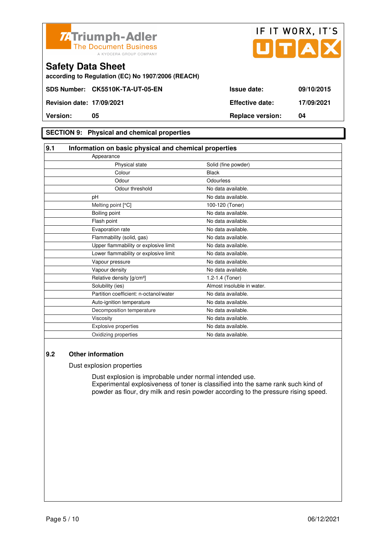



**according to Regulation (EC) No 1907/2006 (REACH)**

**Version: 05 Replace version: 04** 

### **SECTION 9: Physical and chemical properties**

| 9.1                                    | Information on basic physical and chemical properties |  |  |
|----------------------------------------|-------------------------------------------------------|--|--|
| Appearance                             |                                                       |  |  |
| Physical state                         | Solid (fine powder)                                   |  |  |
| Colour                                 | <b>Black</b>                                          |  |  |
| Odour                                  | Odourless                                             |  |  |
| Odour threshold                        | No data available.                                    |  |  |
| pH                                     | No data available.                                    |  |  |
| Melting point [°C]                     | 100-120 (Toner)                                       |  |  |
| Boiling point                          | No data available.                                    |  |  |
| Flash point                            | No data available.                                    |  |  |
| Evaporation rate                       | No data available.                                    |  |  |
| Flammability (solid, gas)              | No data available.                                    |  |  |
| Upper flammability or explosive limit  | No data available.                                    |  |  |
| Lower flammability or explosive limit  | No data available.                                    |  |  |
| Vapour pressure                        | No data available.                                    |  |  |
| Vapour density                         | No data available.                                    |  |  |
| Relative density [g/cm <sup>3</sup> ]  | 1.2-1.4 (Toner)                                       |  |  |
| Solubility (ies)                       | Almost insoluble in water.                            |  |  |
| Partition coefficient: n-octanol/water | No data available.                                    |  |  |
| Auto-ignition temperature              | No data available.                                    |  |  |
| Decomposition temperature              | No data available.                                    |  |  |
| Viscosity                              | No data available.                                    |  |  |
| <b>Explosive properties</b>            | No data available.                                    |  |  |
| Oxidizing properties                   | No data available.                                    |  |  |

### **9.2 Other information**

Dust explosion properties

 Dust explosion is improbable under normal intended use. Experimental explosiveness of toner is classified into the same rank such kind of powder as flour, dry milk and resin powder according to the pressure rising speed.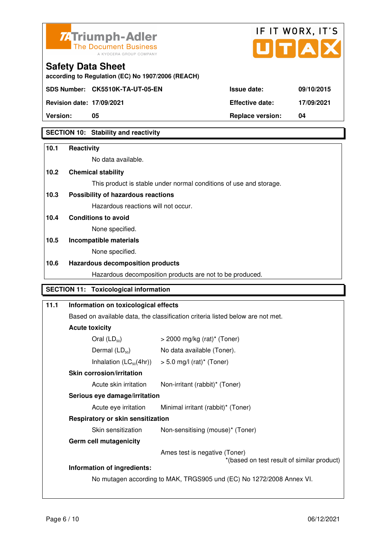



**according to Regulation (EC) No 1907/2006 (REACH)**

**Revision date: 17/09/2021 Effective date: 17/09/2021** 

**Safety Data Sheet** 

**Version:** 05 04 **Replace version:** 04

### **SECTION 10: Stability and reactivity**

# **10.1 Reactivity**  No data available. **10.2 Chemical stability**  This product is stable under normal conditions of use and storage. **10.3 Possibility of hazardous reactions** Hazardous reactions will not occur. **10.4 Conditions to avoid**  None specified. **10.5 Incompatible materials**  None specified. **10.6 Hazardous decomposition products**  Hazardous decomposition products are not to be produced. **SECTION 11: Toxicological information**

| 11.1 | Information on toxicological effects |                                                                                |  |  |  |  |
|------|--------------------------------------|--------------------------------------------------------------------------------|--|--|--|--|
|      |                                      | Based on available data, the classification criteria listed below are not met. |  |  |  |  |
|      | <b>Acute toxicity</b>                |                                                                                |  |  |  |  |
|      | Oral $(LD_{50})$                     | $>$ 2000 mg/kg (rat)* (Toner)                                                  |  |  |  |  |
|      | Dermal $(LD_{50})$                   | No data available (Toner).                                                     |  |  |  |  |
|      | Inhalation $(LC_{50}(4hr))$          | $> 5.0$ mg/l (rat)* (Toner)                                                    |  |  |  |  |
|      | <b>Skin corrosion/irritation</b>     |                                                                                |  |  |  |  |
|      | Acute skin irritation                | Non-irritant (rabbit)* (Toner)                                                 |  |  |  |  |
|      |                                      | Serious eye damage/irritation                                                  |  |  |  |  |
|      | Acute eye irritation                 | Minimal irritant (rabbit)* (Toner)                                             |  |  |  |  |
|      |                                      | <b>Respiratory or skin sensitization</b>                                       |  |  |  |  |
|      | Skin sensitization                   | Non-sensitising (mouse)* (Toner)                                               |  |  |  |  |
|      | <b>Germ cell mutagenicity</b>        |                                                                                |  |  |  |  |
|      |                                      | Ames test is negative (Toner)<br>*(based on test result of similar product)    |  |  |  |  |
|      | Information of ingredients:          |                                                                                |  |  |  |  |
|      |                                      | No mutagen according to MAK, TRGS905 und (EC) No 1272/2008 Annex VI.           |  |  |  |  |
|      |                                      |                                                                                |  |  |  |  |
|      |                                      |                                                                                |  |  |  |  |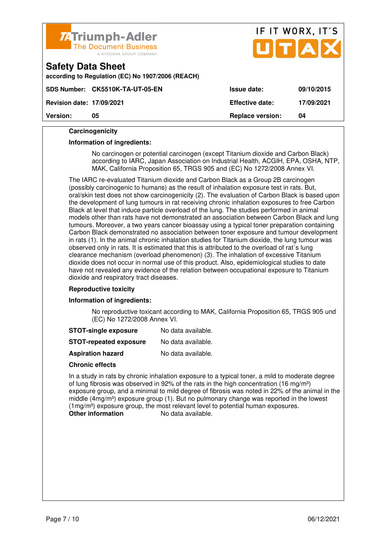

|                                  | <u>и, припро лист</u><br>The Document Business<br>A KYOCERA GROUP COMPANY |                         | UTAX       |
|----------------------------------|---------------------------------------------------------------------------|-------------------------|------------|
| <b>Safety Data Sheet</b>         | according to Regulation (EC) No 1907/2006 (REACH)                         |                         |            |
|                                  | SDS Number: CK5510K-TA-UT-05-EN                                           | <b>Issue date:</b>      | 09/10/2015 |
| <b>Revision date: 17/09/2021</b> |                                                                           | <b>Effective date:</b>  | 17/09/2021 |
| <b>Version:</b>                  | 05                                                                        | <b>Replace version:</b> | 04         |

IF IT WORX, IT'S

#### **Carcinogenicity**

#### **Information of ingredients:**

 No carcinogen or potential carcinogen (except Titanium dioxide and Carbon Black) according to IARC, Japan Association on Industrial Health, ACGIH, EPA, OSHA, NTP, MAK, California Proposition 65, TRGS 905 and (EC) No 1272/2008 Annex VI.

 The IARC re-evaluated Titanium dioxide and Carbon Black as a Group 2B carcinogen (possibly carcinogenic to humans) as the result of inhalation exposure test in rats. But, oral/skin test does not show carcinogenicity (2). The evaluation of Carbon Black is based upon the development of lung tumours in rat receiving chronic inhalation exposures to free Carbon Black at level that induce particle overload of the lung. The studies performed in animal models other than rats have not demonstrated an association between Carbon Black and lung tumours. Moreover, a two years cancer bioassay using a typical toner preparation containing Carbon Black demonstrated no association between toner exposure and tumour development in rats (1). In the animal chronic inhalation studies for Titanium dioxide, the lung tumour was observed only in rats. It is estimated that this is attributed to the overload of rat´s lung clearance mechanism (overload phenomenon) (3). The inhalation of excessive Titanium dioxide does not occur in normal use of this product. Also, epidemiological studies to date have not revealed any evidence of the relation between occupational exposure to Titanium dioxide and respiratory tract diseases.

#### **Reproductive toxicity**

#### **Information of ingredients:**

 No reproductive toxicant according to MAK, California Proposition 65, TRGS 905 und (EC) No 1272/2008 Annex VI.

| <b>STOT-single exposure</b> | No data available. |
|-----------------------------|--------------------|
|-----------------------------|--------------------|

**STOT-repeated exposure** No data available.

**Aspiration hazard** No data available.

#### **Chronic effects**

 In a study in rats by chronic inhalation exposure to a typical toner, a mild to moderate degree of lung fibrosis was observed in 92% of the rats in the high concentration (16 mg/m<sup>3</sup>) exposure group, and a minimal to mild degree of fibrosis was noted in 22% of the animal in the middle  $(4mg/m<sup>3</sup>)$  exposure group (1). But no pulmonary change was reported in the lowest (1mg/m<sup>3</sup>) exposure group, the most relevant level to potential human exposures. **Other information** No data available.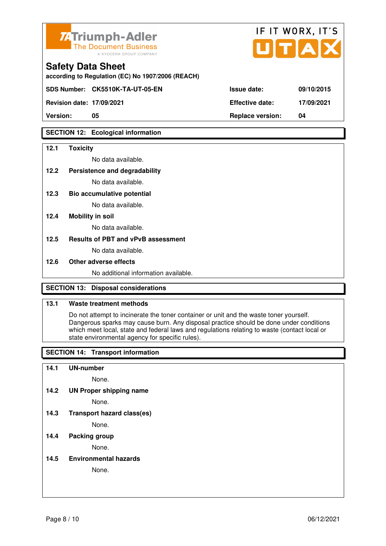

| <b>74 Triumph-Adler</b><br>The Document Business<br>A KYOCERA GROUP COMPANY   |                        | IF II WORX, II'S<br>UTAX |
|-------------------------------------------------------------------------------|------------------------|--------------------------|
| <b>Safety Data Sheet</b><br>according to Regulation (EC) No 1907/2006 (REACH) |                        |                          |
| SDS Number: CK5510K-TA-UT-05-EN                                               | <b>Issue date:</b>     | 09/10/2015               |
| <b>Revision date: 17/09/2021</b>                                              | <b>Effective date:</b> | 17/09/2021               |

 $\mathbf{r} = \mathbf{r} + \mathbf{r}$ 

 $\rightarrow$ 

**Version: 05 Replace version: 04** 

### **SECTION 12: Ecological information**

### **12.1 Toxicity**

No data available.

### **12.2 Persistence and degradability**

No data available.

**12.3 Bio accumulative potential** 

No data available.

### **12.4 Mobility in soil**

No data available.

### **12.5 Results of PBT and vPvB assessment**

No data available.

### **12.6 Other adverse effects**

No additional information available.

### **SECTION 13: Disposal considerations**

### **13.1 Waste treatment methods**

 Do not attempt to incinerate the toner container or unit and the waste toner yourself. Dangerous sparks may cause burn. Any disposal practice should be done under conditions which meet local, state and federal laws and regulations relating to waste (contact local or state environmental agency for specific rules).

### **SECTION 14: Transport information**

### **14.1 UN-number**

None.

**14.2 UN Proper shipping name** 

None.

**14.3 Transport hazard class(es)** 

None.

### **14.4 Packing group**

None.

**14.5 Environmental hazards** 

None.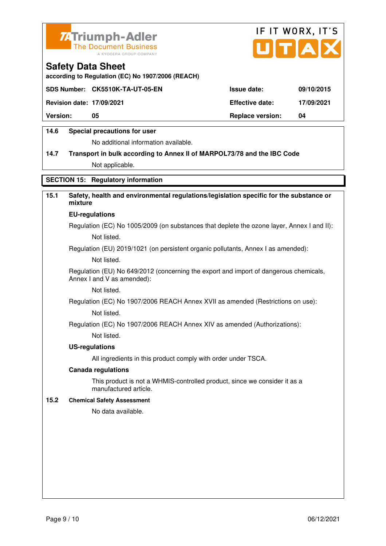



**according to Regulation (EC) No 1907/2006 (REACH)**

|                                  | SDS Number: CK5510K-TA-UT-05-EN | <b>Issue date:</b>      | 09/10/2015 |
|----------------------------------|---------------------------------|-------------------------|------------|
| <b>Revision date: 17/09/2021</b> |                                 | <b>Effective date:</b>  | 17/09/2021 |
| <b>Version:</b>                  | 05                              | <b>Replace version:</b> | 04         |
|                                  |                                 |                         |            |

### **14.6 Special precautions for user**

No additional information available.

# **14.7 Transport in bulk according to Annex II of MARPOL73/78 and the IBC Code** Not applicable.

### **SECTION 15: Regulatory information**

### **15.1 Safety, health and environmental regulations/legislation specific for the substance or mixture**

#### **EU-regulations**

Regulation (EC) No 1005/2009 (on substances that deplete the ozone layer, Annex I and II): Not listed.

Regulation (EU) 2019/1021 (on persistent organic pollutants, Annex I as amended):

Not listed.

 Regulation (EU) No 649/2012 (concerning the export and import of dangerous chemicals, Annex I and V as amended):

Not listed.

 Regulation (EC) No 1907/2006 REACH Annex XVII as amended (Restrictions on use): Not listed.

Regulation (EC) No 1907/2006 REACH Annex XIV as amended (Authorizations):

Not listed.

#### **US-regulations**

All ingredients in this product comply with order under TSCA.

#### **Canada regulations**

 This product is not a WHMIS-controlled product, since we consider it as a manufactured article.

### **15.2 Chemical Safety Assessment**

No data available.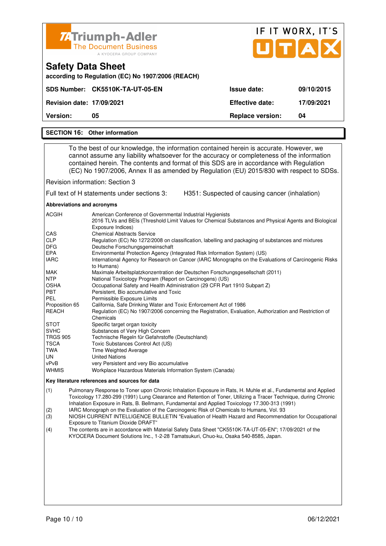| Z4Triumph-Adler<br><b>The Document Business</b><br>A KYOCERA GROUP COMPANY    |                         | IF IT WORX, IT'S<br>UTAX |  |  |
|-------------------------------------------------------------------------------|-------------------------|--------------------------|--|--|
| <b>Safety Data Sheet</b><br>according to Regulation (EC) No 1907/2006 (REACH) |                         |                          |  |  |
| SDS Number: CK5510K-TA-UT-05-EN                                               | Issue date:             | 09/10/2015               |  |  |
| <b>Revision date: 17/09/2021</b>                                              | <b>Effective date:</b>  | 17/09/2021               |  |  |
| <b>Version:</b><br>05                                                         | <b>Replace version:</b> | 04                       |  |  |

#### **SECTION 16: Other information**

 To the best of our knowledge, the information contained herein is accurate. However, we cannot assume any liability whatsoever for the accuracy or completeness of the information contained herein. The contents and format of this SDS are in accordance with Regulation (EC) No 1907/2006, Annex II as amended by Regulation (EU) 2015/830 with respect to SDSs.

Revision information: Section 3

Full text of H statements under sections 3: H351: Suspected of causing cancer (inhalation)

**Abbreviations and acronyms** 

| <b>ACGIH</b>    | American Conference of Governmental Industrial Hygienists                                              |
|-----------------|--------------------------------------------------------------------------------------------------------|
|                 | 2016 TLVs and BEIs (Threshold Limit Values for Chemical Substances and Physical Agents and Biological  |
|                 | Exposure Indices)                                                                                      |
| <b>CAS</b>      | <b>Chemical Abstracts Service</b>                                                                      |
| <b>CLP</b>      | Regulation (EC) No 1272/2008 on classification, labelling and packaging of substances and mixtures     |
| <b>DFG</b>      | Deutsche Forschungsgemeinschaft                                                                        |
| EPA             | Environmental Protection Agency (Integrated Risk Information System) (US)                              |
| <b>IARC</b>     | International Agency for Research on Cancer (IARC Monographs on the Evaluations of Carcinogenic Risks  |
|                 | to Humans)                                                                                             |
| <b>MAK</b>      | Maximale Arbeitsplatzkonzentration der Deutschen Forschungsgesellschaft (2011)                         |
| <b>NTP</b>      | National Toxicology Program (Report on Carcinogens) (US)                                               |
| <b>OSHA</b>     | Occupational Safety and Health Administration (29 CFR Part 1910 Subpart Z)                             |
| <b>PBT</b>      | Persistent, Bio accumulative and Toxic                                                                 |
| <b>PEL</b>      | Permissible Exposure Limits                                                                            |
| Proposition 65  | California, Safe Drinking Water and Toxic Enforcement Act of 1986                                      |
| <b>REACH</b>    | Regulation (EC) No 1907/2006 concerning the Registration, Evaluation, Authorization and Restriction of |
|                 | Chemicals                                                                                              |
| <b>STOT</b>     | Specific target organ toxicity                                                                         |
| <b>SVHC</b>     | Substances of Very High Concern                                                                        |
| <b>TRGS 905</b> | Technische Regeln für Gefahrstoffe (Deutschland)                                                       |
| <b>TSCA</b>     | Toxic Substances Control Act (US)                                                                      |
| TWA             | Time Weighted Average                                                                                  |
| UN.             | <b>United Nations</b>                                                                                  |
| vPvB            | very Persistent and very Bio accumulative                                                              |
| <b>WHMIS</b>    | Workplace Hazardous Materials Information System (Canada)                                              |

#### **Key literature references and sources for data**

(1) Pulmonary Response to Toner upon Chronic Inhalation Exposure in Rats, H. Muhle et al., Fundamental and Applied Toxicology 17.280-299 (1991) Lung Clearance and Retention of Toner, Utilizing a Tracer Technique, during Chronic Inhalation Exposure in Rats, B. Bellmann, Fundamental and Applied Toxicology 17.300-313 (1991)

(2) IARC Monograph on the Evaluation of the Carcinogenic Risk of Chemicals to Humans, Vol. 93

(3) NIOSH CURRENT INTELLIGENCE BULLETIN "Evaluation of Health Hazard and Recommendation for Occupational Exposure to Titanium Dioxide DRAFT"

(4) The contents are in accordance with Material Safety Data Sheet "CK5510K-TA-UT-05-EN"; 17/09/2021 of the KYOCERA Document Solutions Inc., 1-2-28 Tamatsukuri, Chuo-ku, Osaka 540-8585, Japan.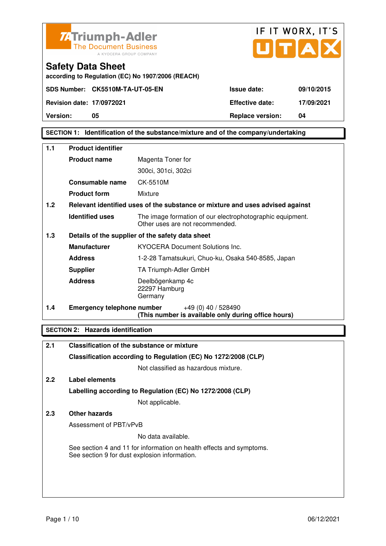



### **SECTION 1: Identification of the substance/mixture and of the company/undertaking**

| 1.1 | <b>Product identifier</b>         |                                                                                              |  |
|-----|-----------------------------------|----------------------------------------------------------------------------------------------|--|
|     | <b>Product name</b>               | Magenta Toner for                                                                            |  |
|     |                                   | 300ci, 301ci, 302ci                                                                          |  |
|     | Consumable name                   | CK-5510M                                                                                     |  |
|     | <b>Product form</b>               | Mixture                                                                                      |  |
| 1.2 |                                   | Relevant identified uses of the substance or mixture and uses advised against                |  |
|     | <b>Identified uses</b>            | The image formation of our electrophotographic equipment.<br>Other uses are not recommended. |  |
| 1.3 |                                   | Details of the supplier of the safety data sheet                                             |  |
|     | <b>Manufacturer</b>               | <b>KYOCERA Document Solutions Inc.</b>                                                       |  |
|     | <b>Address</b>                    | 1-2-28 Tamatsukuri, Chuo-ku, Osaka 540-8585, Japan                                           |  |
|     | <b>Supplier</b>                   | TA Triumph-Adler GmbH                                                                        |  |
|     | <b>Address</b>                    | Deelbögenkamp 4c<br>22297 Hamburg<br>Germany                                                 |  |
| 1.4 | <b>Emergency telephone number</b> | +49 (0) 40 / 528490<br>(This number is available only during office hours)                   |  |

### **SECTION 2: Hazards identification**

| Classification of the substance or mixture                                                                            |
|-----------------------------------------------------------------------------------------------------------------------|
| Classification according to Regulation (EC) No 1272/2008 (CLP)                                                        |
| Not classified as hazardous mixture.                                                                                  |
| Label elements                                                                                                        |
| Labelling according to Regulation (EC) No 1272/2008 (CLP)                                                             |
| Not applicable.                                                                                                       |
| Other hazards                                                                                                         |
| Assessment of PBT/vPvB                                                                                                |
| No data available.                                                                                                    |
| See section 4 and 11 for information on health effects and symptoms.<br>See section 9 for dust explosion information. |
|                                                                                                                       |
|                                                                                                                       |
|                                                                                                                       |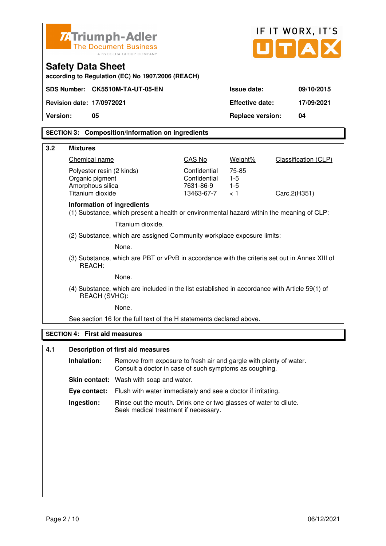|          | IF IT WORX, IT'S<br><b>ZATriumph-Adler</b><br>UTA<br><b>The Document Business</b><br>A KYOCERA GROUP COMPANY   |                                                                                                                              |                                                         |                                |                      |
|----------|----------------------------------------------------------------------------------------------------------------|------------------------------------------------------------------------------------------------------------------------------|---------------------------------------------------------|--------------------------------|----------------------|
|          | <b>Safety Data Sheet</b>                                                                                       | according to Regulation (EC) No 1907/2006 (REACH)                                                                            |                                                         |                                |                      |
|          |                                                                                                                | SDS Number: CK5510M-TA-UT-05-EN                                                                                              |                                                         | <b>Issue date:</b>             | 09/10/2015           |
|          | Revision date: 17/0972021                                                                                      |                                                                                                                              |                                                         | <b>Effective date:</b>         | 17/09/2021           |
| Version: | 05                                                                                                             |                                                                                                                              |                                                         | <b>Replace version:</b>        | 04                   |
|          |                                                                                                                | <b>SECTION 3: Composition/information on ingredients</b>                                                                     |                                                         |                                |                      |
| 3.2      | <b>Mixtures</b>                                                                                                |                                                                                                                              |                                                         |                                |                      |
|          | Chemical name                                                                                                  |                                                                                                                              | CAS No                                                  | Weight%                        | Classification (CLP) |
|          | Polyester resin (2 kinds)<br>Organic pigment<br>Amorphous silica<br>Titanium dioxide                           |                                                                                                                              | Confidential<br>Confidential<br>7631-86-9<br>13463-67-7 | 75-85<br>$1-5$<br>$1-5$<br>< 1 | Carc.2(H351)         |
|          | Information of ingredients                                                                                     | (1) Substance, which present a health or environmental hazard within the meaning of CLP:                                     |                                                         |                                |                      |
|          |                                                                                                                | Titanium dioxide.                                                                                                            |                                                         |                                |                      |
|          |                                                                                                                | (2) Substance, which are assigned Community workplace exposure limits:                                                       |                                                         |                                |                      |
|          | None.                                                                                                          |                                                                                                                              |                                                         |                                |                      |
|          | REACH:                                                                                                         | (3) Substance, which are PBT or vPvB in accordance with the criteria set out in Annex XIII of                                |                                                         |                                |                      |
|          | None.                                                                                                          |                                                                                                                              |                                                         |                                |                      |
|          | (4) Substance, which are included in the list established in accordance with Article 59(1) of<br>REACH (SVHC): |                                                                                                                              |                                                         |                                |                      |
|          |                                                                                                                | None.                                                                                                                        |                                                         |                                |                      |
|          |                                                                                                                | See section 16 for the full text of the H statements declared above.                                                         |                                                         |                                |                      |
|          | <b>SECTION 4: First aid measures</b>                                                                           |                                                                                                                              |                                                         |                                |                      |
| 4.1      |                                                                                                                | <b>Description of first aid measures</b>                                                                                     |                                                         |                                |                      |
|          | Inhalation:                                                                                                    | Remove from exposure to fresh air and gargle with plenty of water.<br>Consult a doctor in case of such symptoms as coughing. |                                                         |                                |                      |
|          |                                                                                                                | Skin contact: Wash with soap and water.                                                                                      |                                                         |                                |                      |
|          | Eye contact:                                                                                                   | Flush with water immediately and see a doctor if irritating.                                                                 |                                                         |                                |                      |
|          | Ingestion:                                                                                                     | Rinse out the mouth. Drink one or two glasses of water to dilute.<br>Seek medical treatment if necessary.                    |                                                         |                                |                      |
|          |                                                                                                                |                                                                                                                              |                                                         |                                |                      |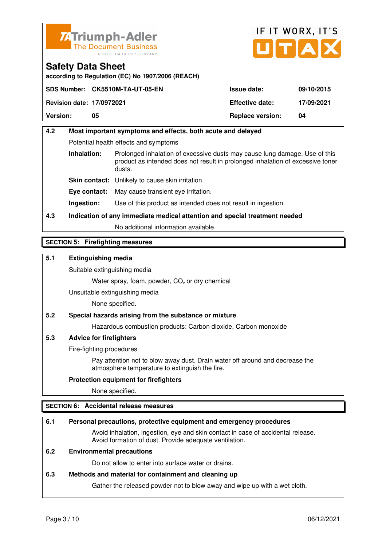



**according to Regulation (EC) No 1907/2006 (REACH)**

|                                  | SDS Number: CK5510M-TA-UT-05-EN | <b>Issue date:</b>      | 09/10/2015 |
|----------------------------------|---------------------------------|-------------------------|------------|
| <b>Revision date: 17/0972021</b> |                                 | <b>Effective date:</b>  | 17/09/2021 |
| <b>Version:</b>                  | 05                              | <b>Replace version:</b> | 04         |

# **4.2 Most important symptoms and effects, both acute and delayed**  Potential health effects and symptoms **Inhalation:** Prolonged inhalation of excessive dusts may cause lung damage. Use of this product as intended does not result in prolonged inhalation of excessive toner dusts. **Skin contact:** Unlikely to cause skin irritation. **Eye contact:** May cause transient eye irritation.

**Ingestion:** Use of this product as intended does not result in ingestion.

# **4.3 Indication of any immediate medical attention and special treatment needed**

No additional information available.

### **SECTION 5: Firefighting measures**

### **5.1 Extinguishing media**

Suitable extinguishing media

Water spray, foam, powder,  $CO<sub>2</sub>$  or dry chemical

Unsuitable extinguishing media

None specified.

### **5.2 Special hazards arising from the substance or mixture**

Hazardous combustion products: Carbon dioxide, Carbon monoxide

### **5.3 Advice for firefighters**

Fire-fighting procedures

 Pay attention not to blow away dust. Drain water off around and decrease the atmosphere temperature to extinguish the fire.

### **Protection equipment for firefighters**

None specified.

### **SECTION 6: Accidental release measures**

### **6.1 Personal precautions, protective equipment and emergency procedures**

 Avoid inhalation, ingestion, eye and skin contact in case of accidental release. Avoid formation of dust. Provide adequate ventilation.

### **6.2 Environmental precautions**

Do not allow to enter into surface water or drains.

### **6.3 Methods and material for containment and cleaning up**

Gather the released powder not to blow away and wipe up with a wet cloth.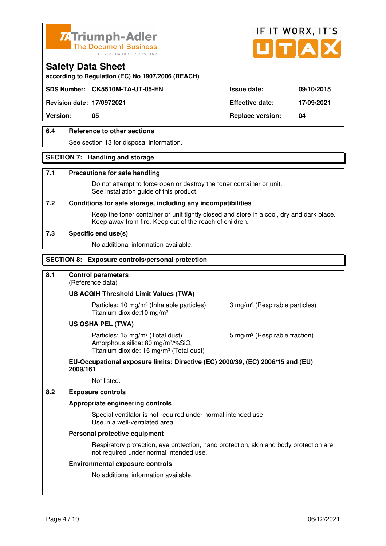



**according to Regulation (EC) No 1907/2006 (REACH)**

### **SDS Number: CK5510M-TA-UT-05-EN Issue date: 09/10/2015**

**Revision date: 17/0972021 Effective date: 17/09/2021** 

**Version: 05 Replace version: 04** 

### **6.4 Reference to other sections**

See section 13 for disposal information.

### **SECTION 7: Handling and storage**

### **7.1 Precautions for safe handling**

 Do not attempt to force open or destroy the toner container or unit. See installation guide of this product.

#### **7.2 Conditions for safe storage, including any incompatibilities**

Keep the toner container or unit tightly closed and store in a cool, dry and dark place. Keep away from fire. Keep out of the reach of children.

#### **7.3 Specific end use(s)**

No additional information available.

### **SECTION 8: Exposure controls/personal protection**

### **8.1 Control parameters**

(Reference data)

### **US ACGIH Threshold Limit Values (TWA)**

**Particles: 10 mg/m<sup>3</sup> (Inhalable particles) 3 mg/m<sup>3</sup> (Respirable particles)** Titanium dioxide:10 mg/m³

#### **US OSHA PEL (TWA)**

Particles: 15 mg/m<sup>3</sup> (Total dust) 5 mg/m<sup>3</sup> (Respirable fraction) Amorphous silica:  $80 \text{ mg/m}^3/\% \text{SiO}_2$ Titanium dioxide: 15 mg/m<sup>3</sup> (Total dust)

#### **EU-Occupational exposure limits: Directive (EC) 2000/39, (EC) 2006/15 and (EU) 2009/161**

Not listed.

### **8.2 Exposure controls**

#### **Appropriate engineering controls**

 Special ventilator is not required under normal intended use. Use in a well-ventilated area.

#### **Personal protective equipment**

 Respiratory protection, eye protection, hand protection, skin and body protection are not required under normal intended use.

#### **Environmental exposure controls**

No additional information available.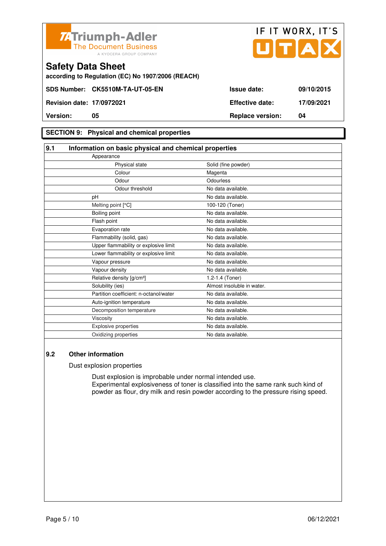



**according to Regulation (EC) No 1907/2006 (REACH)**

### **SECTION 9: Physical and chemical properties**

| 9.1 | Information on basic physical and chemical properties |                            |
|-----|-------------------------------------------------------|----------------------------|
|     | Appearance                                            |                            |
|     | Physical state                                        | Solid (fine powder)        |
|     | Colour                                                | Magenta                    |
|     | Odour                                                 | Odourless                  |
|     | Odour threshold                                       | No data available.         |
|     | pH                                                    | No data available.         |
|     | Melting point [°C]                                    | 100-120 (Toner)            |
|     | Boiling point                                         | No data available.         |
|     | Flash point                                           | No data available.         |
|     | Evaporation rate                                      | No data available.         |
|     | Flammability (solid, gas)                             | No data available.         |
|     | Upper flammability or explosive limit                 | No data available.         |
|     | Lower flammability or explosive limit                 | No data available.         |
|     | Vapour pressure                                       | No data available.         |
|     | Vapour density                                        | No data available.         |
|     | Relative density [g/cm <sup>3</sup> ]                 | 1.2-1.4 (Toner)            |
|     | Solubility (ies)                                      | Almost insoluble in water. |
|     | Partition coefficient: n-octanol/water                | No data available.         |
|     | Auto-ignition temperature                             | No data available.         |
|     | Decomposition temperature                             | No data available.         |
|     | Viscosity                                             | No data available.         |
|     | <b>Explosive properties</b>                           | No data available.         |
|     | Oxidizing properties                                  | No data available.         |

### **9.2 Other information**

Dust explosion properties

 Dust explosion is improbable under normal intended use. Experimental explosiveness of toner is classified into the same rank such kind of powder as flour, dry milk and resin powder according to the pressure rising speed.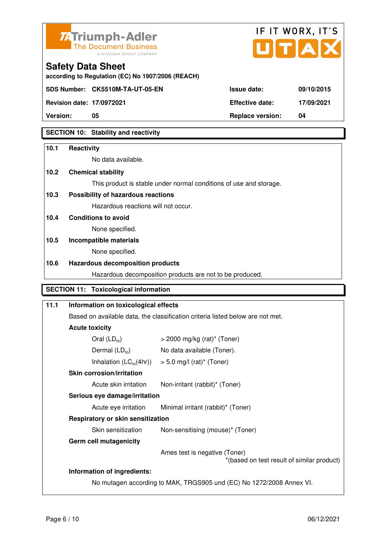



**according to Regulation (EC) No 1907/2006 (REACH)**

**SDS Number: CK5510M-TA-UT-05-EN** 

**Safety Data Sheet** 

| Version:                         | 05                              | <b>Replace version:</b> | 04         |
|----------------------------------|---------------------------------|-------------------------|------------|
| <b>Revision date: 17/0972021</b> |                                 | <b>Effective date:</b>  | 17/09/2021 |
|                                  | SDS Number: CK5510M-TA-UT-05-EN | <b>ISSUE date:</b>      | 09/10/2015 |

### **SECTION 10: Stability and reactivity**

# **10.1 Reactivity**  No data available. **10.2 Chemical stability**  This product is stable under normal conditions of use and storage. **10.3 Possibility of hazardous reactions** Hazardous reactions will not occur. **10.4 Conditions to avoid**  None specified. **10.5 Incompatible materials**  None specified. **10.6 Hazardous decomposition products**  Hazardous decomposition products are not to be produced. **SECTION 11: Toxicological information**

| 11.1 | Information on toxicological effects |                                                                                |  |  |
|------|--------------------------------------|--------------------------------------------------------------------------------|--|--|
|      |                                      | Based on available data, the classification criteria listed below are not met. |  |  |
|      | <b>Acute toxicity</b>                |                                                                                |  |  |
|      | Oral $(LD_{50})$                     | $>$ 2000 mg/kg (rat)* (Toner)                                                  |  |  |
|      | Dermal $(LD_{50})$                   | No data available (Toner).                                                     |  |  |
|      | Inhalation $(LC_{50}(4hr))$          | $> 5.0$ mg/l (rat)* (Toner)                                                    |  |  |
|      | <b>Skin corrosion/irritation</b>     |                                                                                |  |  |
|      | Acute skin irritation                | Non-irritant (rabbit)* (Toner)                                                 |  |  |
|      | Serious eye damage/irritation        |                                                                                |  |  |
|      | Acute eye irritation                 | Minimal irritant (rabbit)* (Toner)                                             |  |  |
|      | Respiratory or skin sensitization    |                                                                                |  |  |
|      | Skin sensitization                   | Non-sensitising (mouse)* (Toner)                                               |  |  |
|      | <b>Germ cell mutagenicity</b>        |                                                                                |  |  |
|      |                                      | Ames test is negative (Toner)<br>*(based on test result of similar product)    |  |  |
|      | Information of ingredients:          |                                                                                |  |  |
|      |                                      | No mutagen according to MAK, TRGS905 und (EC) No 1272/2008 Annex VI.           |  |  |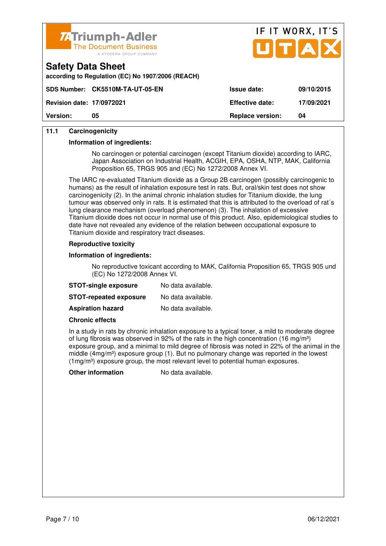

**according to Regulation (EC) No 1907/2006 (REACH)**



|                                  | SDS Number: CK5510M-TA-UT-05-EN_ | <b>Issue date:</b>      | 09/10/2015 |
|----------------------------------|----------------------------------|-------------------------|------------|
| <b>Revision date: 17/0972021</b> |                                  | <b>Effective date:</b>  | 17/09/2021 |
| <b>Version:</b>                  | 05                               | <b>Replace version:</b> | 04         |

### **11.1 Carcinogenicity**

**Safety Data Sheet** 

#### **Information of ingredients:**

 No carcinogen or potential carcinogen (except Titanium dioxide) according to IARC, Japan Association on Industrial Health, ACGIH, EPA, OSHA, NTP, MAK, California Proposition 65, TRGS 905 and (EC) No 1272/2008 Annex VI.

 The IARC re-evaluated Titanium dioxide as a Group 2B carcinogen (possibly carcinogenic to humans) as the result of inhalation exposure test in rats. But, oral/skin test does not show carcinogenicity (2). In the animal chronic inhalation studies for Titanium dioxide, the lung tumour was observed only in rats. It is estimated that this is attributed to the overload of rat´s lung clearance mechanism (overload phenomenon) (3). The inhalation of excessive Titanium dioxide does not occur in normal use of this product. Also, epidemiological studies to date have not revealed any evidence of the relation between occupational exposure to Titanium dioxide and respiratory tract diseases.

#### **Reproductive toxicity**

#### **Information of ingredients:**

 No reproductive toxicant according to MAK, California Proposition 65, TRGS 905 und (EC) No 1272/2008 Annex VI.

| <b>STOT-single exposure</b>   | No data available. |
|-------------------------------|--------------------|
| <b>STOT-repeated exposure</b> | No data available. |
| <b>Aspiration hazard</b>      | No data available. |

#### **Chronic effects**

 In a study in rats by chronic inhalation exposure to a typical toner, a mild to moderate degree of lung fibrosis was observed in 92% of the rats in the high concentration (16 mg/m<sup>3</sup>) exposure group, and a minimal to mild degree of fibrosis was noted in 22% of the animal in the middle (4mg/m<sup>3</sup>) exposure group (1). But no pulmonary change was reported in the lowest  $(1 \text{mg/m}^3)$  exposure group, the most relevant level to potential human exposures.

**Other information** No data available.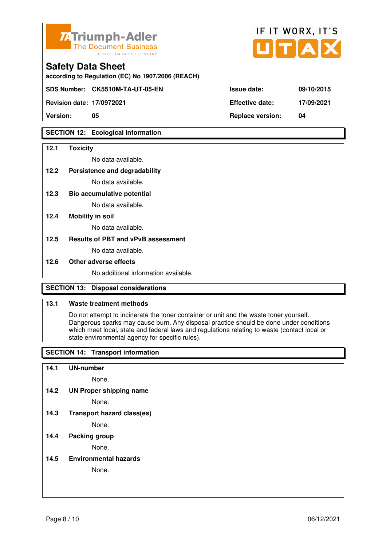

| ZATriumph-Adler<br>The Document Business<br>A KYOCERA GROUP COMPANY           |                        | IF IT WORX, IT'S<br>UTAX |
|-------------------------------------------------------------------------------|------------------------|--------------------------|
| <b>Safety Data Sheet</b><br>according to Regulation (EC) No 1907/2006 (REACH) |                        |                          |
| SDS Number: CK5510M-TA-UT-05-EN                                               | <b>Issue date:</b>     | 09/10/2015               |
| <b>Revision date: 17/0972021</b>                                              | <b>Effective date:</b> | 17/09/2021               |

**Version: 05 Replace version: 04** 

### **SECTION 12: Ecological information**

#### **12.1 Toxicity**

No data available.

#### **12.2 Persistence and degradability**

No data available.

**12.3 Bio accumulative potential** 

No data available.

### **12.4 Mobility in soil**

No data available.

### **12.5 Results of PBT and vPvB assessment**

No data available.

#### **12.6 Other adverse effects**

No additional information available.

### **SECTION 13: Disposal considerations**

### **13.1 Waste treatment methods**

 Do not attempt to incinerate the toner container or unit and the waste toner yourself. Dangerous sparks may cause burn. Any disposal practice should be done under conditions which meet local, state and federal laws and regulations relating to waste (contact local or state environmental agency for specific rules).

### **SECTION 14: Transport information**

#### **14.1 UN-number**

None.

**14.2 UN Proper shipping name** 

None.

**14.3 Transport hazard class(es)** 

None.

### **14.4 Packing group**

None.

### **14.5 Environmental hazards**

None.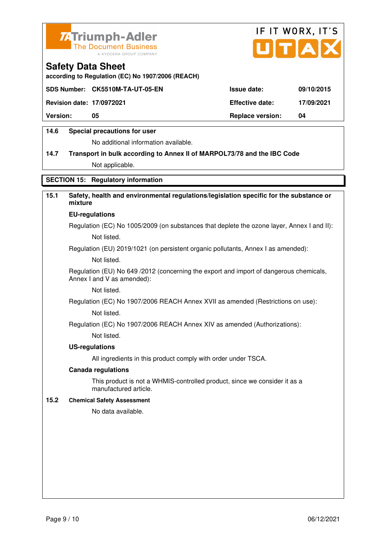



**according to Regulation (EC) No 1907/2006 (REACH)**

|                                  | SDS Number: CK5510M-TA-UT-05-EN | <b>Issue date:</b>      | 09/10/2015 |
|----------------------------------|---------------------------------|-------------------------|------------|
| <b>Revision date: 17/0972021</b> |                                 | <b>Effective date:</b>  | 17/09/2021 |
| <b>Version:</b>                  | 05                              | <b>Replace version:</b> | 04         |
|                                  |                                 |                         |            |

### **14.6 Special precautions for user**

No additional information available.

# **14.7 Transport in bulk according to Annex II of MARPOL73/78 and the IBC Code** Not applicable.

**SECTION 15: Regulatory information** 

### **15.1 Safety, health and environmental regulations/legislation specific for the substance or mixture**

#### **EU-regulations**

Regulation (EC) No 1005/2009 (on substances that deplete the ozone layer, Annex I and II): Not listed.

Regulation (EU) 2019/1021 (on persistent organic pollutants, Annex I as amended):

Not listed.

 Regulation (EU) No 649 /2012 (concerning the export and import of dangerous chemicals, Annex I and V as amended):

Not listed.

 Regulation (EC) No 1907/2006 REACH Annex XVII as amended (Restrictions on use): Not listed.

Regulation (EC) No 1907/2006 REACH Annex XIV as amended (Authorizations):

Not listed.

#### **US-regulations**

All ingredients in this product comply with order under TSCA.

#### **Canada regulations**

 This product is not a WHMIS-controlled product, since we consider it as a manufactured article.

### **15.2 Chemical Safety Assessment**

No data available.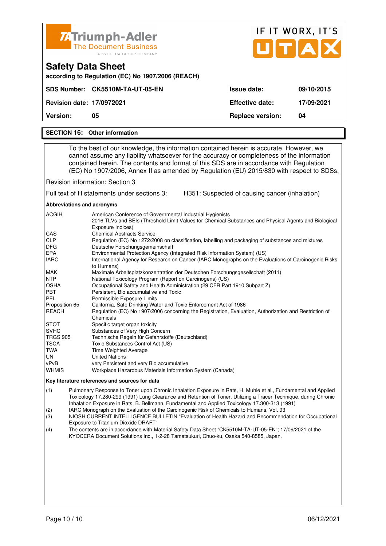| Z <sub>4</sub> Triumph-Adler<br><b>The Document Business</b><br>A KYOCERA GROUP COMPANY |                         | IF IT WORX, IT'S<br>UTAX |
|-----------------------------------------------------------------------------------------|-------------------------|--------------------------|
| <b>Safety Data Sheet</b><br>according to Regulation (EC) No 1907/2006 (REACH)           |                         |                          |
| SDS Number: CK5510M-TA-UT-05-EN                                                         | <b>Issue date:</b>      | 09/10/2015               |
| <b>Revision date: 17/0972021</b>                                                        | Effective date:         | 17/09/2021               |
| <b>Version:</b><br>05                                                                   | <b>Replace version:</b> | 04                       |
| <b>SECTION 16: Other information</b>                                                    |                         |                          |

 To the best of our knowledge, the information contained herein is accurate. However, we cannot assume any liability whatsoever for the accuracy or completeness of the information contained herein. The contents and format of this SDS are in accordance with Regulation (EC) No 1907/2006, Annex II as amended by Regulation (EU) 2015/830 with respect to SDSs.

Revision information: Section 3

Full text of H statements under sections 3: H351: Suspected of causing cancer (inhalation)

**Abbreviations and acronyms** 

| <b>ACGIH</b>    | American Conference of Governmental Industrial Hygienists                                                                  |
|-----------------|----------------------------------------------------------------------------------------------------------------------------|
|                 | 2016 TLVs and BEIs (Threshold Limit Values for Chemical Substances and Physical Agents and Biological<br>Exposure Indices) |
| <b>CAS</b>      | <b>Chemical Abstracts Service</b>                                                                                          |
| <b>CLP</b>      | Regulation (EC) No 1272/2008 on classification, labelling and packaging of substances and mixtures                         |
| <b>DFG</b>      | Deutsche Forschungsgemeinschaft                                                                                            |
| <b>EPA</b>      | Environmental Protection Agency (Integrated Risk Information System) (US)                                                  |
| <b>IARC</b>     | International Agency for Research on Cancer (IARC Monographs on the Evaluations of Carcinogenic Risks<br>to Humans)        |
| <b>MAK</b>      | Maximale Arbeitsplatzkonzentration der Deutschen Forschungsgesellschaft (2011)                                             |
| <b>NTP</b>      | National Toxicology Program (Report on Carcinogens) (US)                                                                   |
| <b>OSHA</b>     | Occupational Safety and Health Administration (29 CFR Part 1910 Subpart Z)                                                 |
| <b>PBT</b>      | Persistent, Bio accumulative and Toxic                                                                                     |
| <b>PEL</b>      | Permissible Exposure Limits                                                                                                |
| Proposition 65  | California, Safe Drinking Water and Toxic Enforcement Act of 1986                                                          |
| REACH           | Regulation (EC) No 1907/2006 concerning the Registration, Evaluation, Authorization and Restriction of                     |
|                 | Chemicals                                                                                                                  |
| <b>STOT</b>     | Specific target organ toxicity                                                                                             |
| <b>SVHC</b>     | Substances of Very High Concern                                                                                            |
| <b>TRGS 905</b> | Technische Regeln für Gefahrstoffe (Deutschland)                                                                           |
| <b>TSCA</b>     | Toxic Substances Control Act (US)                                                                                          |
| TWA             | Time Weighted Average                                                                                                      |
| UN.             | <b>United Nations</b>                                                                                                      |
| vPvB            | very Persistent and very Bio accumulative                                                                                  |
| <b>WHMIS</b>    | Workplace Hazardous Materials Information System (Canada)                                                                  |

#### **Key literature references and sources for data**

(1) Pulmonary Response to Toner upon Chronic Inhalation Exposure in Rats, H. Muhle et al., Fundamental and Applied Toxicology 17.280-299 (1991) Lung Clearance and Retention of Toner, Utilizing a Tracer Technique, during Chronic Inhalation Exposure in Rats, B. Bellmann, Fundamental and Applied Toxicology 17.300-313 (1991)

(2) IARC Monograph on the Evaluation of the Carcinogenic Risk of Chemicals to Humans, Vol. 93

(3) NIOSH CURRENT INTELLIGENCE BULLETIN "Evaluation of Health Hazard and Recommendation for Occupational Exposure to Titanium Dioxide DRAFT"

(4) The contents are in accordance with Material Safety Data Sheet "CK5510M-TA-UT-05-EN"; 17/09/2021 of the KYOCERA Document Solutions Inc., 1-2-28 Tamatsukuri, Chuo-ku, Osaka 540-8585, Japan.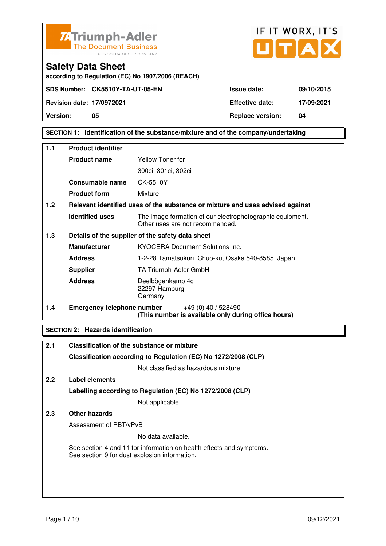



### **SECTION 1: Identification of the substance/mixture and of the company/undertaking**

| 1.1 | <b>Product identifier</b>         |                                                                                              |  |
|-----|-----------------------------------|----------------------------------------------------------------------------------------------|--|
|     | <b>Product name</b>               | Yellow Toner for                                                                             |  |
|     |                                   | 300ci, 301ci, 302ci                                                                          |  |
|     | Consumable name                   | CK-5510Y                                                                                     |  |
|     | <b>Product form</b>               | Mixture                                                                                      |  |
| 1.2 |                                   | Relevant identified uses of the substance or mixture and uses advised against                |  |
|     | <b>Identified uses</b>            | The image formation of our electrophotographic equipment.<br>Other uses are not recommended. |  |
| 1.3 |                                   | Details of the supplier of the safety data sheet                                             |  |
|     | <b>Manufacturer</b>               | <b>KYOCERA Document Solutions Inc.</b>                                                       |  |
|     | <b>Address</b>                    | 1-2-28 Tamatsukuri, Chuo-ku, Osaka 540-8585, Japan                                           |  |
|     | <b>Supplier</b>                   | TA Triumph-Adler GmbH                                                                        |  |
|     | <b>Address</b>                    | Deelbögenkamp 4c<br>22297 Hamburg<br>Germany                                                 |  |
| 1.4 | <b>Emergency telephone number</b> | $+49(0)$ 40 / 528490<br>(This number is available only during office hours)                  |  |

### **SECTION 2: Hazards identification**

| 2.1           | Classification of the substance or mixture                                                                            |
|---------------|-----------------------------------------------------------------------------------------------------------------------|
|               | Classification according to Regulation (EC) No 1272/2008 (CLP)                                                        |
|               | Not classified as hazardous mixture.                                                                                  |
| $2.2^{\circ}$ | Label elements                                                                                                        |
|               | Labelling according to Regulation (EC) No 1272/2008 (CLP)                                                             |
|               | Not applicable.                                                                                                       |
| 2.3           | Other hazards                                                                                                         |
|               | Assessment of PBT/vPvB                                                                                                |
|               | No data available.                                                                                                    |
|               | See section 4 and 11 for information on health effects and symptoms.<br>See section 9 for dust explosion information. |
|               |                                                                                                                       |
|               |                                                                                                                       |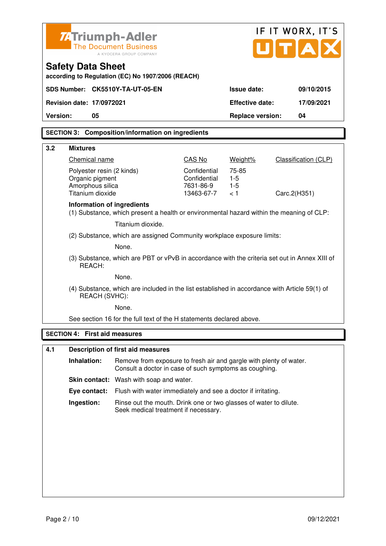| <b>74 Triumph-Adler</b><br><b>The Document Business</b>                       |                                     | IF IT WORX, IT'S                                                                                                             |                           |                         |                             |  |  |
|-------------------------------------------------------------------------------|-------------------------------------|------------------------------------------------------------------------------------------------------------------------------|---------------------------|-------------------------|-----------------------------|--|--|
|                                                                               |                                     | A KYOCERA GROUP COMPANY                                                                                                      |                           |                         | JITIAI                      |  |  |
| <b>Safety Data Sheet</b><br>according to Regulation (EC) No 1907/2006 (REACH) |                                     |                                                                                                                              |                           |                         |                             |  |  |
|                                                                               |                                     | SDS Number: CK5510Y-TA-UT-05-EN                                                                                              |                           | <b>Issue date:</b>      | 09/10/2015                  |  |  |
| <b>Revision date: 17/0972021</b>                                              |                                     |                                                                                                                              |                           | <b>Effective date:</b>  | 17/09/2021                  |  |  |
| <b>Version:</b>                                                               | 05                                  |                                                                                                                              |                           | <b>Replace version:</b> | 04                          |  |  |
|                                                                               |                                     | <b>SECTION 3: Composition/information on ingredients</b>                                                                     |                           |                         |                             |  |  |
| 3.2<br><b>Mixtures</b>                                                        |                                     |                                                                                                                              |                           |                         |                             |  |  |
|                                                                               | Chemical name                       |                                                                                                                              | CAS No                    | Weight%                 | <b>Classification (CLP)</b> |  |  |
|                                                                               | Polyester resin (2 kinds)           |                                                                                                                              | Confidential              | 75-85                   |                             |  |  |
|                                                                               | Organic pigment<br>Amorphous silica |                                                                                                                              | Confidential<br>7631-86-9 | $1-5$<br>$1-5$          |                             |  |  |
|                                                                               | Titanium dioxide                    |                                                                                                                              | 13463-67-7                | < 1                     | Carc.2(H351)                |  |  |
|                                                                               |                                     | Information of ingredients<br>(1) Substance, which present a health or environmental hazard within the meaning of CLP:       |                           |                         |                             |  |  |
|                                                                               |                                     | Titanium dioxide.                                                                                                            |                           |                         |                             |  |  |
|                                                                               |                                     | (2) Substance, which are assigned Community workplace exposure limits:                                                       |                           |                         |                             |  |  |
|                                                                               |                                     | None.                                                                                                                        |                           |                         |                             |  |  |
|                                                                               | REACH:                              | (3) Substance, which are PBT or vPvB in accordance with the criteria set out in Annex XIII of                                |                           |                         |                             |  |  |
|                                                                               |                                     | None.                                                                                                                        |                           |                         |                             |  |  |
|                                                                               | REACH (SVHC):                       | (4) Substance, which are included in the list established in accordance with Article 59(1) of                                |                           |                         |                             |  |  |
|                                                                               |                                     | None.                                                                                                                        |                           |                         |                             |  |  |
|                                                                               |                                     | See section 16 for the full text of the H statements declared above.                                                         |                           |                         |                             |  |  |
| <b>SECTION 4:</b>                                                             |                                     | <b>First aid measures</b>                                                                                                    |                           |                         |                             |  |  |
| 4.1                                                                           |                                     | <b>Description of first aid measures</b>                                                                                     |                           |                         |                             |  |  |
|                                                                               | Inhalation:                         | Remove from exposure to fresh air and gargle with plenty of water.<br>Consult a doctor in case of such symptoms as coughing. |                           |                         |                             |  |  |
|                                                                               |                                     | Skin contact: Wash with soap and water.                                                                                      |                           |                         |                             |  |  |
|                                                                               | Eye contact:                        | Flush with water immediately and see a doctor if irritating.                                                                 |                           |                         |                             |  |  |
|                                                                               | Ingestion:                          | Rinse out the mouth. Drink one or two glasses of water to dilute.<br>Seek medical treatment if necessary.                    |                           |                         |                             |  |  |
|                                                                               |                                     |                                                                                                                              |                           |                         |                             |  |  |
|                                                                               |                                     |                                                                                                                              |                           |                         |                             |  |  |
|                                                                               |                                     |                                                                                                                              |                           |                         |                             |  |  |
|                                                                               |                                     |                                                                                                                              |                           |                         |                             |  |  |
|                                                                               |                                     |                                                                                                                              |                           |                         |                             |  |  |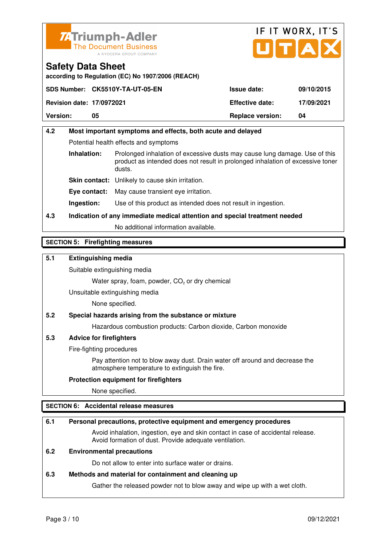



**according to Regulation (EC) No 1907/2006 (REACH)**

|                                  | SDS Number: CK5510Y-TA-UT-05-EN | <b>Issue date:</b>      | 09/10/2015 |
|----------------------------------|---------------------------------|-------------------------|------------|
| <b>Revision date: 17/0972021</b> |                                 | <b>Effective date:</b>  | 17/09/2021 |
| <b>Version:</b>                  | 05                              | <b>Replace version:</b> | 04         |

# **4.2 Most important symptoms and effects, both acute and delayed**  Potential health effects and symptoms **Inhalation:** Prolonged inhalation of excessive dusts may cause lung damage. Use of this product as intended does not result in prolonged inhalation of excessive toner dusts. **Skin contact:** Unlikely to cause skin irritation. **Eye contact:** May cause transient eye irritation.

**Ingestion:** Use of this product as intended does not result in ingestion.

## **4.3 Indication of any immediate medical attention and special treatment needed**

No additional information available.

### **SECTION 5: Firefighting measures**

### **5.1 Extinguishing media**

Suitable extinguishing media

Water spray, foam, powder,  $CO<sub>2</sub>$  or dry chemical

Unsuitable extinguishing media

None specified.

### **5.2 Special hazards arising from the substance or mixture**

Hazardous combustion products: Carbon dioxide, Carbon monoxide

### **5.3 Advice for firefighters**

Fire-fighting procedures

 Pay attention not to blow away dust. Drain water off around and decrease the atmosphere temperature to extinguish the fire.

### **Protection equipment for firefighters**

None specified.

### **SECTION 6: Accidental release measures**

### **6.1 Personal precautions, protective equipment and emergency procedures**

 Avoid inhalation, ingestion, eye and skin contact in case of accidental release. Avoid formation of dust. Provide adequate ventilation.

### **6.2 Environmental precautions**

Do not allow to enter into surface water or drains.

#### **6.3 Methods and material for containment and cleaning up**

Gather the released powder not to blow away and wipe up with a wet cloth.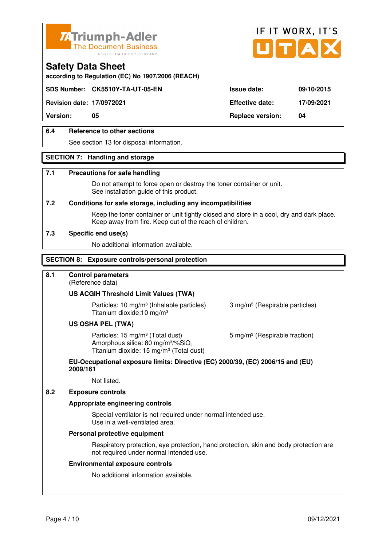



**according to Regulation (EC) No 1907/2006 (REACH)**

### **SDS Number: CK5510Y-TA-UT-05-EN Issue date: 09/10/2015**

**Revision date: 17/0972021 Effective date: 17/09/2021** 

**Version: 05 Replace version: 04** 

### **6.4 Reference to other sections**

See section 13 for disposal information.

### **SECTION 7: Handling and storage**

#### **7.1 Precautions for safe handling**

 Do not attempt to force open or destroy the toner container or unit. See installation guide of this product.

#### **7.2 Conditions for safe storage, including any incompatibilities**

Keep the toner container or unit tightly closed and store in a cool, dry and dark place. Keep away from fire. Keep out of the reach of children.

#### **7.3 Specific end use(s)**

No additional information available.

#### **SECTION 8: Exposure controls/personal protection**

### **8.1 Control parameters**

(Reference data)

#### **US ACGIH Threshold Limit Values (TWA)**

**Particles: 10 mg/m<sup>3</sup> (Inhalable particles) 3 mg/m<sup>3</sup> (Respirable particles)** Titanium dioxide:10 mg/m³

#### **US OSHA PEL (TWA)**

Particles: 15 mg/m<sup>3</sup> (Total dust) 5 mg/m<sup>3</sup> (Respirable fraction) Amorphous silica:  $80 \text{ mg/m}^3/\% \text{SiO}_2$ Titanium dioxide: 15 mg/m<sup>3</sup> (Total dust)

#### **EU-Occupational exposure limits: Directive (EC) 2000/39, (EC) 2006/15 and (EU) 2009/161**

Not listed.

### **8.2 Exposure controls**

#### **Appropriate engineering controls**

 Special ventilator is not required under normal intended use. Use in a well-ventilated area.

#### **Personal protective equipment**

 Respiratory protection, eye protection, hand protection, skin and body protection are not required under normal intended use.

#### **Environmental exposure controls**

No additional information available.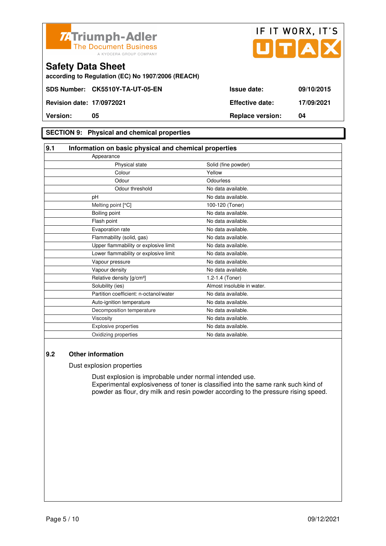



**according to Regulation (EC) No 1907/2006 (REACH)**

### **SECTION 9: Physical and chemical properties**

| 9.1       | Information on basic physical and chemical properties |                            |  |
|-----------|-------------------------------------------------------|----------------------------|--|
|           | Appearance                                            |                            |  |
|           | Physical state                                        | Solid (fine powder)        |  |
|           | Colour                                                | Yellow                     |  |
|           | Odour                                                 | Odourless                  |  |
|           | Odour threshold                                       | No data available.         |  |
| pH        |                                                       | No data available.         |  |
|           | Melting point [°C]                                    | 100-120 (Toner)            |  |
|           | Boiling point                                         | No data available.         |  |
|           | Flash point                                           | No data available.         |  |
|           | Evaporation rate                                      | No data available.         |  |
|           | Flammability (solid, gas)                             | No data available.         |  |
|           | Upper flammability or explosive limit                 | No data available.         |  |
|           | Lower flammability or explosive limit                 | No data available.         |  |
|           | Vapour pressure                                       | No data available.         |  |
|           | Vapour density                                        | No data available.         |  |
|           | Relative density [g/cm <sup>3</sup> ]                 | 1.2-1.4 (Toner)            |  |
|           | Solubility (ies)                                      | Almost insoluble in water. |  |
|           | Partition coefficient: n-octanol/water                | No data available.         |  |
|           | Auto-ignition temperature                             | No data available.         |  |
|           | Decomposition temperature                             | No data available.         |  |
| Viscosity |                                                       | No data available.         |  |
|           | Explosive properties                                  | No data available.         |  |
|           | Oxidizing properties                                  | No data available.         |  |

### **9.2 Other information**

Dust explosion properties

 Dust explosion is improbable under normal intended use. Experimental explosiveness of toner is classified into the same rank such kind of powder as flour, dry milk and resin powder according to the pressure rising speed.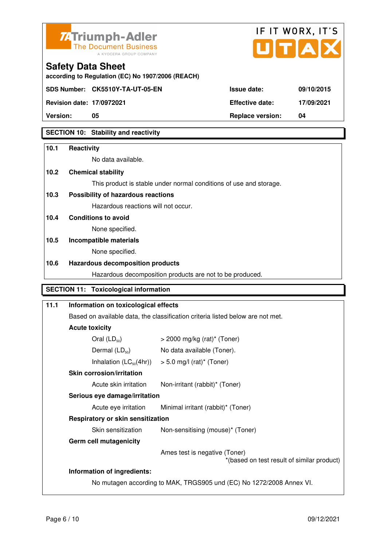



**according to Regulation (EC) No 1907/2006 (REACH)**

**SDS Number: CK5510Y-TA-UT-05-EN** 

**Safety Data Sheet** 

| Version:                         | 05                              | <b>Replace version:</b> | 04         |
|----------------------------------|---------------------------------|-------------------------|------------|
| <b>Revision date: 17/0972021</b> |                                 | <b>Effective date:</b>  | 17/09/2021 |
|                                  | SDS Number: CK5510Y-TA-UT-05-EN | <b>Issue date:</b>      | 09/10/2015 |

### **SECTION 10: Stability and reactivity**

# **10.1 Reactivity**  No data available. **10.2 Chemical stability**  This product is stable under normal conditions of use and storage. **10.3 Possibility of hazardous reactions** Hazardous reactions will not occur. **10.4 Conditions to avoid**  None specified. **10.5 Incompatible materials**  None specified. **10.6 Hazardous decomposition products**  Hazardous decomposition products are not to be produced. **SECTION 11: Toxicological information**

| 11.1                                                                                                       | Information on toxicological effects                                           |                                    |  |  |  |
|------------------------------------------------------------------------------------------------------------|--------------------------------------------------------------------------------|------------------------------------|--|--|--|
|                                                                                                            | Based on available data, the classification criteria listed below are not met. |                                    |  |  |  |
|                                                                                                            | <b>Acute toxicity</b>                                                          |                                    |  |  |  |
|                                                                                                            | Oral $(LD_{50})$                                                               | $>$ 2000 mg/kg (rat)* (Toner)      |  |  |  |
|                                                                                                            | Dermal $(LD_{50})$                                                             | No data available (Toner).         |  |  |  |
|                                                                                                            | Inhalation $(LC_{50}(4hr))$                                                    | $> 5.0$ mg/l (rat)* (Toner)        |  |  |  |
|                                                                                                            | <b>Skin corrosion/irritation</b>                                               |                                    |  |  |  |
|                                                                                                            | Acute skin irritation                                                          | Non-irritant (rabbit)* (Toner)     |  |  |  |
|                                                                                                            | Serious eye damage/irritation                                                  |                                    |  |  |  |
|                                                                                                            | Acute eye irritation                                                           | Minimal irritant (rabbit)* (Toner) |  |  |  |
|                                                                                                            | Respiratory or skin sensitization                                              |                                    |  |  |  |
|                                                                                                            | Skin sensitization                                                             | Non-sensitising (mouse)* (Toner)   |  |  |  |
|                                                                                                            | Germ cell mutagenicity                                                         |                                    |  |  |  |
| Ames test is negative (Toner)<br>*(based on test result of similar product)<br>Information of ingredients: |                                                                                |                                    |  |  |  |
|                                                                                                            |                                                                                |                                    |  |  |  |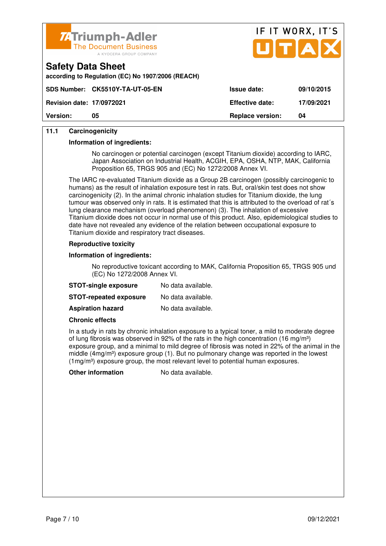



| according to Regulation (EC) No 1907/2006 (REACH) |  |
|---------------------------------------------------|--|
|                                                   |  |

| <b>Version:</b>                  | 05                              | <b>Replace version:</b> | 04         |
|----------------------------------|---------------------------------|-------------------------|------------|
| <b>Revision date: 17/0972021</b> |                                 | <b>Effective date:</b>  | 17/09/2021 |
|                                  | SDS Number: CK5510Y-TA-UT-05-EN | <b>Issue date:</b>      | 09/10/2015 |

### **11.1 Carcinogenicity**

**Safety Data Sheet** 

#### **Information of ingredients:**

 No carcinogen or potential carcinogen (except Titanium dioxide) according to IARC, Japan Association on Industrial Health, ACGIH, EPA, OSHA, NTP, MAK, California Proposition 65, TRGS 905 and (EC) No 1272/2008 Annex VI.

 The IARC re-evaluated Titanium dioxide as a Group 2B carcinogen (possibly carcinogenic to humans) as the result of inhalation exposure test in rats. But, oral/skin test does not show carcinogenicity (2). In the animal chronic inhalation studies for Titanium dioxide, the lung tumour was observed only in rats. It is estimated that this is attributed to the overload of rat´s lung clearance mechanism (overload phenomenon) (3). The inhalation of excessive Titanium dioxide does not occur in normal use of this product. Also, epidemiological studies to date have not revealed any evidence of the relation between occupational exposure to Titanium dioxide and respiratory tract diseases.

### **Reproductive toxicity**

#### **Information of ingredients:**

 No reproductive toxicant according to MAK, California Proposition 65, TRGS 905 und (EC) No 1272/2008 Annex VI.

| <b>STOT-single exposure</b>   | No data available. |
|-------------------------------|--------------------|
| <b>STOT-repeated exposure</b> | No data available. |
| <b>Aspiration hazard</b>      | No data available. |

#### **Chronic effects**

 In a study in rats by chronic inhalation exposure to a typical toner, a mild to moderate degree of lung fibrosis was observed in 92% of the rats in the high concentration (16 mg/m<sup>3</sup>) exposure group, and a minimal to mild degree of fibrosis was noted in 22% of the animal in the middle (4mg/m<sup>3</sup>) exposure group (1). But no pulmonary change was reported in the lowest  $(1 \text{mg/m}^3)$  exposure group, the most relevant level to potential human exposures.

**Other information** No data available.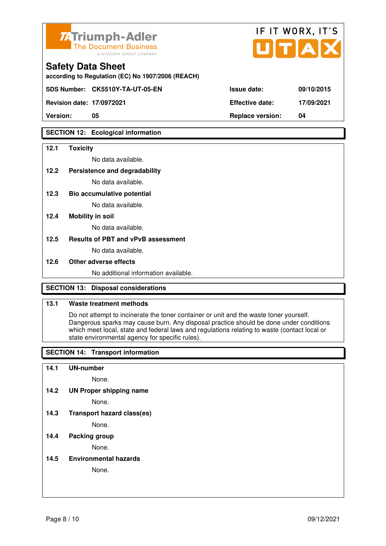

| <b>74 Triumph-Adler</b><br>The Document Business<br>A KYOCERA GROUP COMPANY   |                        | IF II WURX. II S<br>UTAX |
|-------------------------------------------------------------------------------|------------------------|--------------------------|
| <b>Safety Data Sheet</b><br>according to Regulation (EC) No 1907/2006 (REACH) |                        |                          |
| SDS Number: CK5510Y-TA-UT-05-EN                                               | <b>Issue date:</b>     | 09/10/2015               |
| <b>Revision date: 17/0972021</b>                                              | <b>Effective date:</b> | 17/09/2021               |

 $FIT$   $MOR$ 

 $\overline{\phantom{a}}$ 

**Version: 05 Replace version: 04** 

### **SECTION 12: Ecological information**

#### **12.1 Toxicity**

No data available.

#### **12.2 Persistence and degradability**

No data available.

**12.3 Bio accumulative potential** 

No data available.

### **12.4 Mobility in soil**

No data available.

### **12.5 Results of PBT and vPvB assessment**

No data available.

#### **12.6 Other adverse effects**

No additional information available.

### **SECTION 13: Disposal considerations**

### **13.1 Waste treatment methods**

 Do not attempt to incinerate the toner container or unit and the waste toner yourself. Dangerous sparks may cause burn. Any disposal practice should be done under conditions which meet local, state and federal laws and regulations relating to waste (contact local or state environmental agency for specific rules).

### **SECTION 14: Transport information**

#### **14.1 UN-number**

None.

**14.2 UN Proper shipping name** 

None.

**14.3 Transport hazard class(es)** 

None.

### **14.4 Packing group**

None.

### **14.5 Environmental hazards**

None.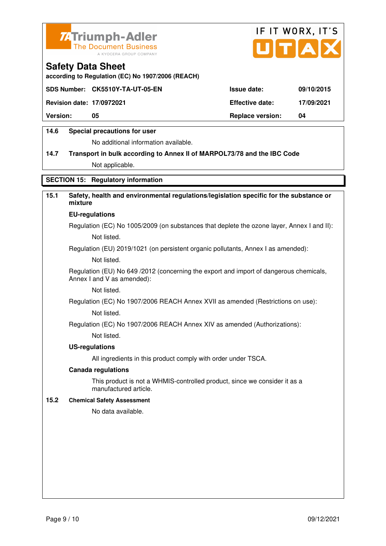



**according to Regulation (EC) No 1907/2006 (REACH)**

|                                  | SDS Number: CK5510Y-TA-UT-05-EN | <b>Issue date:</b>      | 09/10/2015 |
|----------------------------------|---------------------------------|-------------------------|------------|
| <b>Revision date: 17/0972021</b> |                                 | <b>Effective date:</b>  | 17/09/2021 |
| <b>Version:</b>                  | 05                              | <b>Replace version:</b> | 04         |
|                                  |                                 |                         |            |

### **14.6 Special precautions for user**

No additional information available.

# **14.7 Transport in bulk according to Annex II of MARPOL73/78 and the IBC Code** Not applicable.

### **SECTION 15: Regulatory information**

### **15.1 Safety, health and environmental regulations/legislation specific for the substance or mixture**

#### **EU-regulations**

Regulation (EC) No 1005/2009 (on substances that deplete the ozone layer, Annex I and II): Not listed.

Regulation (EU) 2019/1021 (on persistent organic pollutants, Annex I as amended):

Not listed.

 Regulation (EU) No 649 /2012 (concerning the export and import of dangerous chemicals, Annex I and V as amended):

Not listed.

 Regulation (EC) No 1907/2006 REACH Annex XVII as amended (Restrictions on use): Not listed.

Regulation (EC) No 1907/2006 REACH Annex XIV as amended (Authorizations):

Not listed.

#### **US-regulations**

All ingredients in this product comply with order under TSCA.

#### **Canada regulations**

 This product is not a WHMIS-controlled product, since we consider it as a manufactured article.

### **15.2 Chemical Safety Assessment**

No data available.